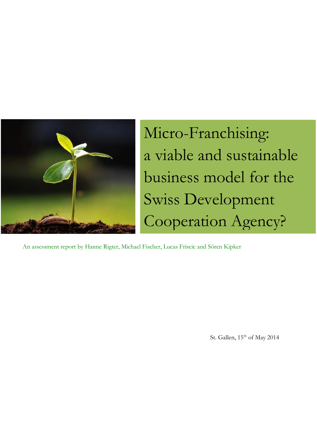

Micro-Franchising: a viable and sustainable business model for the Swiss Development Cooperation Agency?

An assessment report by Hanne Rigter, Michael Fischer, Lucas Friscic and Sören Kipker

St. Gallen, 15<sup>th</sup> of May 2014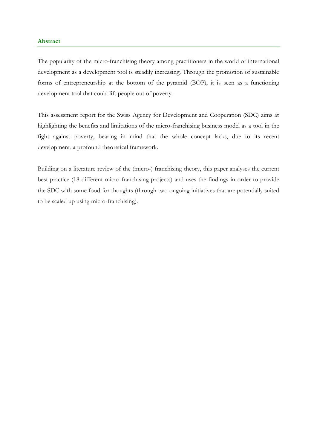## **Abstract**

The popularity of the micro-franchising theory among practitioners in the world of international development as a development tool is steadily increasing. Through the promotion of sustainable forms of entrepreneurship at the bottom of the pyramid (BOP), it is seen as a functioning development tool that could lift people out of poverty.

This assessment report for the Swiss Agency for Development and Cooperation (SDC) aims at highlighting the benefits and limitations of the micro-franchising business model as a tool in the fight against poverty, bearing in mind that the whole concept lacks, due to its recent development, a profound theoretical framework.

Building on a literature review of the (micro-) franchising theory, this paper analyses the current best practice (18 different micro-franchising projects) and uses the findings in order to provide the SDC with some food for thoughts (through two ongoing initiatives that are potentially suited to be scaled up using micro-franchising).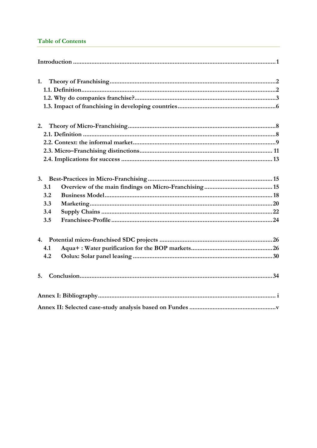## **Table of Contents**

| 1.                                    |
|---------------------------------------|
| 2.                                    |
| 3.<br>3.1<br>3.2<br>3.3<br>3.4<br>3.5 |
| 4.1<br>4.2<br>5.                      |
|                                       |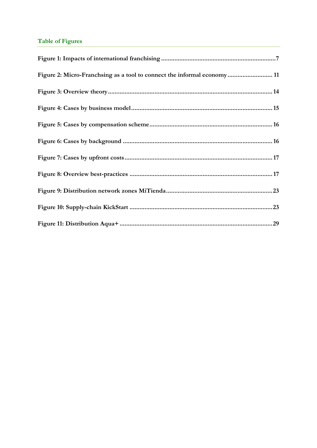# **Table of Figures**

| Figure 2: Micro-Franchsing as a tool to connect the informal economy 11 |  |
|-------------------------------------------------------------------------|--|
|                                                                         |  |
|                                                                         |  |
|                                                                         |  |
|                                                                         |  |
|                                                                         |  |
|                                                                         |  |
|                                                                         |  |
|                                                                         |  |
|                                                                         |  |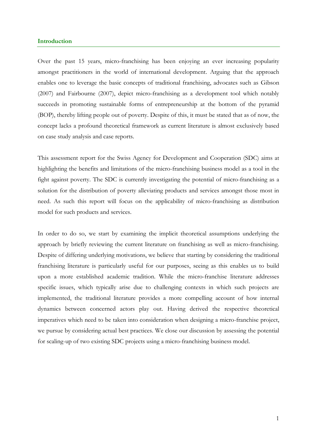### <span id="page-4-0"></span>**Introduction**

Over the past 15 years, micro-franchising has been enjoying an ever increasing popularity amongst practitioners in the world of international development. Arguing that the approach enables one to leverage the basic concepts of traditional franchising, advocates such as Gibson (2007) and Fairbourne (2007), depict micro-franchising as a development tool which notably succeeds in promoting sustainable forms of entrepreneurship at the bottom of the pyramid (BOP), thereby lifting people out of poverty. Despite of this, it must be stated that as of now, the concept lacks a profound theoretical framework as current literature is almost exclusively based on case study analysis and case reports.

This assessment report for the Swiss Agency for Development and Cooperation (SDC) aims at highlighting the benefits and limitations of the micro-franchising business model as a tool in the fight against poverty. The SDC is currently investigating the potential of micro-franchising as a solution for the distribution of poverty alleviating products and services amongst those most in need. As such this report will focus on the applicability of micro-franchising as distribution model for such products and services.

In order to do so, we start by examining the implicit theoretical assumptions underlying the approach by briefly reviewing the current literature on franchising as well as micro-franchising. Despite of differing underlying motivations, we believe that starting by considering the traditional franchising literature is particularly useful for our purposes, seeing as this enables us to build upon a more established academic tradition. While the micro-franchise literature addresses specific issues, which typically arise due to challenging contexts in which such projects are implemented, the traditional literature provides a more compelling account of how internal dynamics between concerned actors play out. Having derived the respective theoretical imperatives which need to be taken into consideration when designing a micro-franchise project, we pursue by considering actual best practices. We close our discussion by assessing the potential for scaling-up of two existing SDC projects using a micro-franchising business model.

1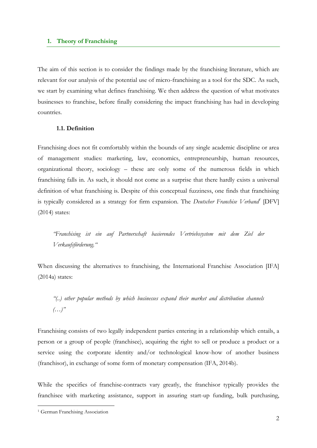## <span id="page-5-0"></span>**1. Theory of Franchising**

The aim of this section is to consider the findings made by the franchising literature, which are relevant for our analysis of the potential use of micro-franchising as a tool for the SDC. As such, we start by examining what defines franchising. We then address the question of what motivates businesses to franchise, before finally considering the impact franchising has had in developing countries.

### <span id="page-5-1"></span>**1.1. Definition**

Franchising does not fit comfortably within the bounds of any single academic discipline or area of management studies: marketing, law, economics, entrepreneurship, human resources, organizational theory, sociology – these are only some of the numerous fields in which franchising falls in. As such, it should not come as a surprise that there hardly exists a universal definition of what franchising is. Despite of this conceptual fuzziness, one finds that franchising is typically considered as a strategy for firm expansion. The *Deutscher Franchise Verband<sup>1</sup>* [DFV] (2014) states:

*"Franchising ist ein auf Partnerschaft basierendes Vertriebssystem mit dem Ziel der Verkaufsförderung."*

When discussing the alternatives to franchising, the International Franchise Association [IFA] (2014a) states:

*"(..) other popular methods by which businesses expand their market and distribution channels (…)"*

Franchising consists of two legally independent parties entering in a relationship which entails, a person or a group of people (franchisee), acquiring the right to sell or produce a product or a service using the corporate identity and/or technological know-how of another business (franchisor), in exchange of some form of monetary compensation (IFA, 2014b).

While the specifics of franchise-contracts vary greatly, the franchisor typically provides the franchisee with marketing assistance, support in assuring start-up funding, bulk purchasing,

<u>.</u>

<sup>&</sup>lt;sup>1</sup> German Franchising Association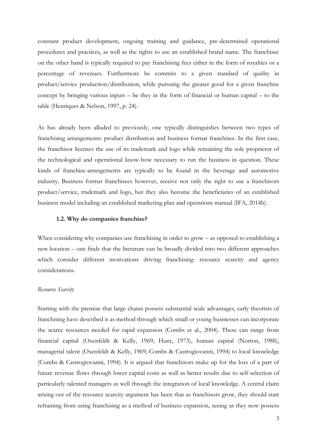constant product development, ongoing training and guidance, pre-determined operational procedures and practices, as well as the rights to use an established brand name. The franchisee on the other hand is typically required to pay franchising fees either in the form of royalties or a percentage of revenues. Furthermore he commits to a given standard of quality in product/service production/distribution, while pursuing the greater good for a given franchise concept by bringing various inputs – be they in the form of financial or human capital – to the table (Henriques & Nelson, 1997, p. 24).

As has already been alluded to previously, one typically distinguishes between two types of franchising arrangements: product distribution and business format franchises. In the first case, the franchisor licenses the use of its trademark and logo while remaining the sole proprietor of the technological and operational know-how necessary to run the business in question. These kinds of franchise-arrangements are typically to be found in the beverage and automotive industry. Business format franchisees however, receive not only the right to use a franchisors product/service, trademark and logo, but they also become the beneficiaries of an established business model including an established marketing plan and operations manual (IFA, 2014b).

#### <span id="page-6-0"></span>**1.2. Why do companies franchise?**

When considering why companies use franchising in order to grow – as opposed to establishing a new location – one finds that the literature can be broadly divided into two different approaches which consider different motivations driving franchising: resource scarcity and agency considerations.

## *Resource Scarcity*

Starting with the premise that large chains possess substantial scale advantages, early theorists of franchising have described it as method through which small or young businesses can incorporate the scarce resources needed for rapid expansion (Combs et al., 2004). These can range from financial capital (Oxenfeldt & Kelly, 1969; Hunt, 1973), human capital (Norton, 1988), managerial talent (Oxenfeldt & Kelly, 1969; Combs & Castrogiovanni, 1994) to local knowledge (Combs & Castrogiovanni, 1994). It is argued that franchisors make up for the loss of a part of future revenue flows through lower capital costs as well as better results due to self-selection of particularly talented managers as well through the integration of local knowledge. A central claim arising out of the resource scarcity argument has been that as franchisors grow, they should start refraining from using franchising as a method of business expansion, seeing as they now possess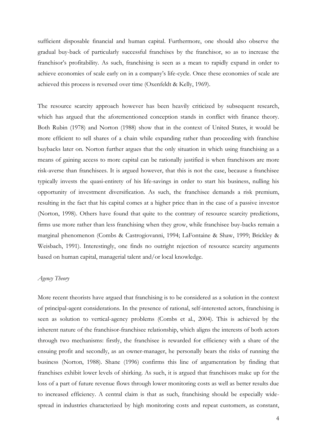sufficient disposable financial and human capital. Furthermore, one should also observe the gradual buy-back of particularly successful franchises by the franchisor, so as to increase the franchisor's profitability. As such, franchising is seen as a mean to rapidly expand in order to achieve economies of scale early on in a company's life-cycle. Once these economies of scale are achieved this process is reversed over time (Oxenfeldt & Kelly, 1969).

The resource scarcity approach however has been heavily criticized by subsequent research, which has argued that the aforementioned conception stands in conflict with finance theory. Both Rubin (1978) and Norton (1988) show that in the context of United States, it would be more efficient to sell shares of a chain while expanding rather than proceeding with franchise buybacks later on. Norton further argues that the only situation in which using franchising as a means of gaining access to more capital can be rationally justified is when franchisors are more risk-averse than franchisees. It is argued however, that this is not the case, because a franchisee typically invests the quasi-entirety of his life-savings in order to start his business, nulling his opportunity of investment diversification. As such, the franchisee demands a risk premium, resulting in the fact that his capital comes at a higher price than in the case of a passive investor (Norton, 1998). Others have found that quite to the contrary of resource scarcity predictions, firms use more rather than less franchising when they grow, while franchisee buy-backs remain a marginal phenomenon (Combs & Castrogiovanni, 1994; LaFontaine & Shaw, 1999; Brickley & Weisbach, 1991). Interestingly, one finds no outright rejection of resource scarcity arguments based on human capital, managerial talent and/or local knowledge.

## *Agency Theory*

More recent theorists have argued that franchising is to be considered as a solution in the context of principal-agent considerations. In the presence of rational, self-interested actors, franchising is seen as solution to vertical-agency problems (Combs et al., 2004). This is achieved by the inherent nature of the franchisor-franchisee relationship, which aligns the interests of both actors through two mechanisms: firstly, the franchisee is rewarded for efficiency with a share of the ensuing profit and secondly, as an owner-manager, he personally bears the risks of running the business (Norton, 1988). Shane (1996) confirms this line of argumentation by finding that franchises exhibit lower levels of shirking. As such, it is argued that franchisors make up for the loss of a part of future revenue flows through lower monitoring costs as well as better results due to increased efficiency. A central claim is that as such, franchising should be especially widespread in industries characterized by high monitoring costs and repeat customers, as constant,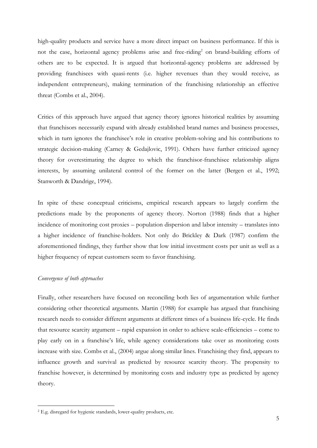high-quality products and service have a more direct impact on business performance. If this is not the case, horizontal agency problems arise and free-riding<sup>2</sup> on brand-building efforts of others are to be expected. It is argued that horizontal-agency problems are addressed by providing franchisees with quasi-rents (i.e. higher revenues than they would receive, as independent entrepreneurs), making termination of the franchising relationship an effective threat (Combs et al., 2004).

Critics of this approach have argued that agency theory ignores historical realities by assuming that franchisors necessarily expand with already established brand names and business processes, which in turn ignores the franchisee's role in creative problem-solving and his contributions to strategic decision-making (Carney & Gedajlovic, 1991). Others have further criticized agency theory for overestimating the degree to which the franchisor-franchisee relationship aligns interests, by assuming unilateral control of the former on the latter (Bergen et al., 1992; Stanworth & Dandrige, 1994).

In spite of these conceptual criticisms, empirical research appears to largely confirm the predictions made by the proponents of agency theory. Norton (1988) finds that a higher incidence of monitoring cost proxies – population dispersion and labor intensity – translates into a higher incidence of franchise-holders. Not only do Brickley & Dark (1987) confirm the aforementioned findings, they further show that low initial investment costs per unit as well as a higher frequency of repeat customers seem to favor franchising.

## *Convergence of both approaches*

<u>.</u>

Finally, other researchers have focused on reconciling both lies of argumentation while further considering other theoretical arguments. Martin (1988) for example has argued that franchising research needs to consider different arguments at different times of a business life-cycle. He finds that resource scarcity argument – rapid expansion in order to achieve scale-efficiencies – come to play early on in a franchise's life, while agency considerations take over as monitoring costs increase with size. Combs et al., (2004) argue along similar lines. Franchising they find, appears to influence growth and survival as predicted by resource scarcity theory. The propensity to franchise however, is determined by monitoring costs and industry type as predicted by agency theory.

<sup>2</sup> E.g. disregard for hygienic standards, lower-quality products, etc.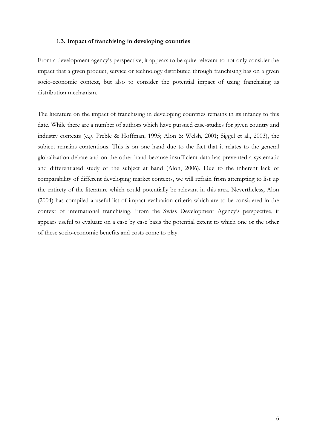### **1.3. Impact of franchising in developing countries**

<span id="page-9-0"></span>From a development agency's perspective, it appears to be quite relevant to not only consider the impact that a given product, service or technology distributed through franchising has on a given socio-economic context, but also to consider the potential impact of using franchising as distribution mechanism.

The literature on the impact of franchising in developing countries remains in its infancy to this date. While there are a number of authors which have pursued case-studies for given country and industry contexts (e.g. Preble & Hoffman, 1995; Alon & Welsh, 2001; Siggel et al., 2003), the subject remains contentious. This is on one hand due to the fact that it relates to the general globalization debate and on the other hand because insufficient data has prevented a systematic and differentiated study of the subject at hand (Alon, 2006). Due to the inherent lack of comparability of different developing market contexts, we will refrain from attempting to list up the entirety of the literature which could potentially be relevant in this area. Nevertheless, Alon (2004) has compiled a useful list of impact evaluation criteria which are to be considered in the context of international franchising. From the Swiss Development Agency's perspective, it appears useful to evaluate on a case by case basis the potential extent to which one or the other of these socio-economic benefits and costs come to play.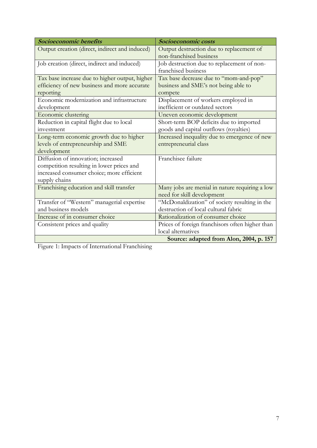| Socioeconomic benefits                         | Socioeconomic costs                             |
|------------------------------------------------|-------------------------------------------------|
| Output creation (direct, indirect and induced) | Output destruction due to replacement of        |
|                                                | non-franchised business                         |
| Job creation (direct, indirect and induced)    | Job destruction due to replacement of non-      |
|                                                | franchised business                             |
| Tax base increase due to higher output, higher | Tax base decrease due to "mom-and-pop"          |
| efficiency of new business and more accurate   | business and SME's not being able to            |
| reporting                                      | compete                                         |
| Economic modernization and infrastructure      | Displacement of workers employed in             |
| development                                    | inefficient or outdated sectors                 |
| Economic clustering                            | Uneven economic development                     |
| Reduction in capital flight due to local       | Short-term BOP deficits due to imported         |
| investment                                     | goods and capital outflows (royalties)          |
| Long-term economic growth due to higher        | Increased inequality due to emergence of new    |
| levels of entrepreneurship and SME             | entrepreneurial class                           |
| development                                    |                                                 |
| Diffusion of innovation; increased             | Franchisee failure                              |
| competition resulting in lower prices and      |                                                 |
| increased consumer choice; more efficient      |                                                 |
| supply chains                                  |                                                 |
| Franchising education and skill transfer       | Many jobs are menial in nature requiring a low  |
|                                                | need for skill development                      |
| Transfer of "Western" managerial expertise     | "McDonaldization" of society resulting in the   |
| and business models                            | destruction of local cultural fabric            |
| Increase of in consumer choice                 | Rationalization of consumer choice              |
| Consistent prices and quality                  | Prices of foreign franchisors often higher than |
|                                                | local alternatives                              |
|                                                | Source: adapted from Alon, 2004, p. 157         |

<span id="page-10-0"></span>Figure 1: Impacts of International Franchising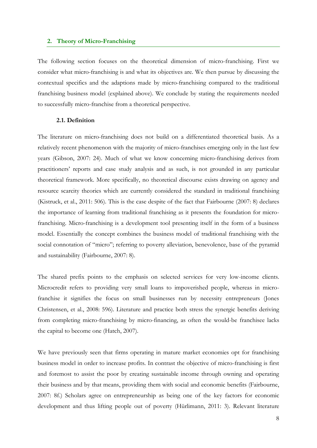#### <span id="page-11-0"></span>**2. Theory of Micro-Franchising**

The following section focuses on the theoretical dimension of micro-franchising. First we consider what micro-franchising is and what its objectives are. We then pursue by discussing the contextual specifics and the adaptions made by micro-franchising compared to the traditional franchising business model (explained above). We conclude by stating the requirements needed to successfully micro-franchise from a theoretical perspective.

## <span id="page-11-1"></span>**2.1. Definition**

The literature on micro-franchising does not build on a differentiated theoretical basis. As a relatively recent phenomenon with the majority of micro-franchises emerging only in the last few years (Gibson, 2007: 24). Much of what we know concerning micro-franchising derives from practitioners' reports and case study analysis and as such, is not grounded in any particular theoretical framework. More specifically, no theoretical discourse exists drawing on agency and resource scarcity theories which are currently considered the standard in traditional franchising (Kistruck, et al., 2011: 506). This is the case despite of the fact that Fairbourne (2007: 8) declares the importance of learning from traditional franchising as it presents the foundation for microfranchising. Micro-franchising is a development tool presenting itself in the form of a business model. Essentially the concept combines the business model of traditional franchising with the social connotation of "micro"; referring to poverty alleviation, benevolence, base of the pyramid and sustainability (Fairbourne, 2007: 8).

The shared prefix points to the emphasis on selected services for very low-income clients. Microcredit refers to providing very small loans to impoverished people, whereas in microfranchise it signifies the focus on small businesses run by necessity entrepreneurs (Jones Christensen, et al., 2008: 596). Literature and practice both stress the synergic benefits deriving from completing micro-franchising by micro-financing, as often the would-be franchisee lacks the capital to become one (Hatch, 2007).

We have previously seen that firms operating in mature market economies opt for franchising business model in order to increase profits. In contrast the objective of micro-franchising is first and foremost to assist the poor by creating sustainable income through owning and operating their business and by that means, providing them with social and economic benefits (Fairbourne, 2007: 8f.) Scholars agree on entrepreneurship as being one of the key factors for economic development and thus lifting people out of poverty (Hürlimann, 2011: 3). Relevant literature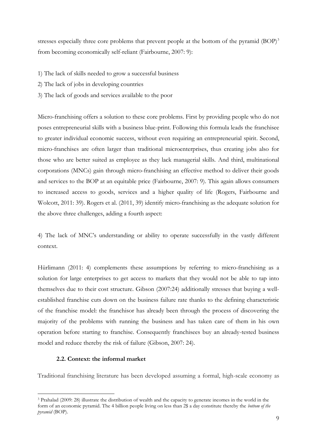stresses especially three core problems that prevent people at the bottom of the pyramid (BOP)<sup>3</sup> from becoming economically self-reliant (Fairbourne, 2007: 9):

- 1) The lack of skills needed to grow a successful business
- 2) The lack of jobs in developing countries
- 3) The lack of goods and services available to the poor

Micro-franchising offers a solution to these core problems. First by providing people who do not poses entrepreneurial skills with a business blue-print. Following this formula leads the franchisee to greater individual economic success, without even requiring an entrepreneurial spirit. Second, micro-franchises are often larger than traditional microenterprises, thus creating jobs also for those who are better suited as employee as they lack managerial skills. And third, multinational corporations (MNCs) gain through micro-franchising an effective method to deliver their goods and services to the BOP at an equitable price (Fairbourne, 2007: 9). This again allows consumers to increased access to goods, services and a higher quality of life (Rogers, Fairbourne and Wolcott, 2011: 39). Rogers et al. (2011, 39) identify micro-franchising as the adequate solution for the above three challenges, adding a fourth aspect:

4) The lack of MNC's understanding or ability to operate successfully in the vastly different context.

Hürlimann (2011: 4) complements these assumptions by referring to micro-franchising as a solution for large enterprises to get access to markets that they would not be able to tap into themselves due to their cost structure. Gibson (2007:24) additionally stresses that buying a wellestablished franchise cuts down on the business failure rate thanks to the defining characteristic of the franchise model: the franchisor has already been through the process of discovering the majority of the problems with running the business and has taken care of them in his own operation before starting to franchise. Consequently franchisees buy an already-tested business model and reduce thereby the risk of failure (Gibson, 2007: 24).

## <span id="page-12-0"></span>**2.2. Context: the informal market**

<u>.</u>

Traditional franchising literature has been developed assuming a formal, high-scale economy as

<sup>3</sup> Prahalad (2009: 28) illustrate the distribution of wealth and the capacity to generate incomes in the world in the form of an economic pyramid. The 4 billion people living on less than 2\$ a day constitute thereby the *bottom of the pyramid* (BOP).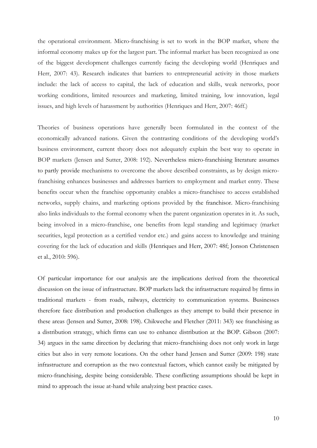the operational environment. Micro-franchising is set to work in the BOP market, where the informal economy makes up for the largest part. The informal market has been recognized as one of the biggest development challenges currently facing the developing world (Henriques and Herr, 2007: 43). Research indicates that barriers to entrepreneurial activity in those markets include: the lack of access to capital, the lack of education and skills, weak networks, poor working conditions, limited resources and marketing, limited training, low innovation, legal issues, and high levels of harassment by authorities (Henriques and Herr, 2007: 46ff.)

Theories of business operations have generally been formulated in the context of the economically advanced nations. Given the contrasting conditions of the developing world's business environment, current theory does not adequately explain the best way to operate in BOP markets (Jensen and Sutter, 2008: 192). Nevertheless micro-franchising literature assumes to partly provide mechanisms to overcome the above described constraints, as by design microfranchising enhances businesses and addresses barriers to employment and market entry. These benefits occur when the franchise opportunity enables a micro-franchisee to access established networks, supply chains, and marketing options provided by the franchisor. Micro-franchising also links individuals to the formal economy when the parent organization operates in it. As such, being involved in a micro-franchise, one benefits from legal standing and legitimacy (market securities, legal protection as a certified vendor etc.) and gains access to knowledge and training covering for the lack of education and skills (Henriques and Herr, 2007: 48f; Jonson Christensen et al., 2010: 596).

Of particular importance for our analysis are the implications derived from the theoretical discussion on the issue of infrastructure. BOP markets lack the infrastructure required by firms in traditional markets - from roads, railways, electricity to communication systems. Businesses therefore face distribution and production challenges as they attempt to build their presence in these areas (Jensen and Sutter, 2008: 198). Chikweche and Fletcher (2011: 343) see franchising as a distribution strategy, which firms can use to enhance distribution at the BOP. Gibson (2007: 34) argues in the same direction by declaring that micro-franchising does not only work in large cities but also in very remote locations. On the other hand Jensen and Sutter (2009: 198) state infrastructure and corruption as the two contextual factors, which cannot easily be mitigated by micro-franchising, despite being considerable. These conflicting assumptions should be kept in mind to approach the issue at-hand while analyzing best practice cases.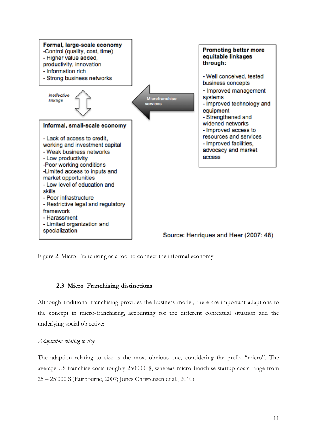

<span id="page-14-1"></span>Figure 2: Micro-Franchising as a tool to connect the informal economy

## **2.3. Micro–Franchising distinctions**

<span id="page-14-0"></span>Although traditional franchising provides the business model, there are important adaptions to the concept in micro-franchising, accounting for the different contextual situation and the underlying social objective:

## *Adaptation relating to size*

The adaption relating to size is the most obvious one, considering the prefix "micro". The average US franchise costs roughly 250'000 \$, whereas micro-franchise startup costs range from 25 – 25'000 \$ (Fairbourne, 2007; Jones Christensen et al., 2010).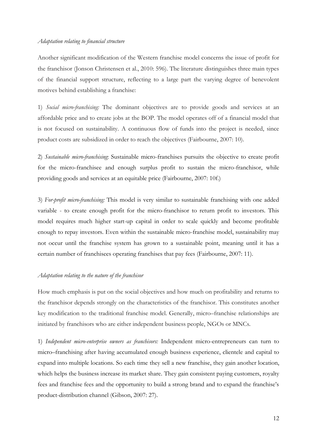### *Adaptation relating to financial structure*

Another significant modification of the Western franchise model concerns the issue of profit for the franchisor (Jonson Christensen et al., 2010: 596). The literature distinguishes three main types of the financial support structure, reflecting to a large part the varying degree of benevolent motives behind establishing a franchise:

1) *Social micro-franchising:* The dominant objectives are to provide goods and services at an affordable price and to create jobs at the BOP. The model operates off of a financial model that is not focused on sustainability. A continuous flow of funds into the project is needed, since product costs are subsidized in order to reach the objectives (Fairbourne, 2007: 10).

2) *Sustainable micro-franchising*: Sustainable micro-franchises pursuits the objective to create profit for the micro-franchisee and enough surplus profit to sustain the micro-franchisor, while providing goods and services at an equitable price (Fairbourne, 2007: 10f.)

3) *For-profit micro-franchising:* This model is very similar to sustainable franchising with one added variable - to create enough profit for the micro-franchisor to return profit to investors. This model requires much higher start-up capital in order to scale quickly and become profitable enough to repay investors. Even within the sustainable micro-franchise model, sustainability may not occur until the franchise system has grown to a sustainable point, meaning until it has a certain number of franchisees operating franchises that pay fees (Fairbourne, 2007: 11).

#### *Adaptation relating to the nature of the franchisor*

How much emphasis is put on the social objectives and how much on profitability and returns to the franchisor depends strongly on the characteristics of the franchisor. This constitutes another key modification to the traditional franchise model. Generally, micro–franchise relationships are initiated by franchisors who are either independent business people, NGOs or MNCs.

1) *Independent micro-enterprise owners as franchisors:* Independent micro-entrepreneurs can turn to micro–franchising after having accumulated enough business experience, clientele and capital to expand into multiple locations. So each time they sell a new franchise, they gain another location, which helps the business increase its market share. They gain consistent paying customers, royalty fees and franchise fees and the opportunity to build a strong brand and to expand the franchise's product-distribution channel (Gibson, 2007: 27).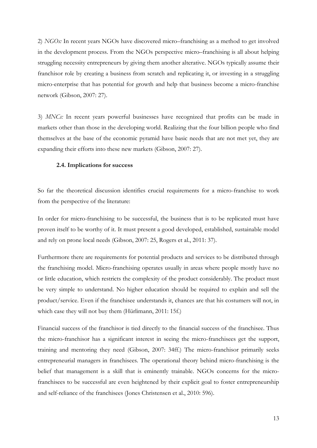2) *NGOs:* In recent years NGOs have discovered micro–franchising as a method to get involved in the development process. From the NGOs perspective micro–franchising is all about helping struggling necessity entrepreneurs by giving them another alterative. NGOs typically assume their franchisor role by creating a business from scratch and replicating it, or investing in a struggling micro-enterprise that has potential for growth and help that business become a micro-franchise network (Gibson, 2007: 27).

3) *MNCs:* In recent years powerful businesses have recognized that profits can be made in markets other than those in the developing world. Realizing that the four billion people who find themselves at the base of the economic pyramid have basic needs that are not met yet, they are expanding their efforts into these new markets (Gibson, 2007: 27).

### <span id="page-16-0"></span>**2.4. Implications for success**

So far the theoretical discussion identifies crucial requirements for a micro-franchise to work from the perspective of the literature:

In order for micro-franchising to be successful, the business that is to be replicated must have proven itself to be worthy of it. It must present a good developed, established, sustainable model and rely on prone local needs (Gibson, 2007: 25, Rogers et al., 2011: 37).

Furthermore there are requirements for potential products and services to be distributed through the franchising model. Micro-franchising operates usually in areas where people mostly have no or little education, which restricts the complexity of the product considerably. The product must be very simple to understand. No higher education should be required to explain and sell the product/service. Even if the franchisee understands it, chances are that his costumers will not, in which case they will not buy them (Hürlimann, 2011: 15f.)

Financial success of the franchisor is tied directly to the financial success of the franchisee. Thus the micro-franchisor has a significant interest in seeing the micro-franchisees get the support, training and mentoring they need (Gibson, 2007: 34ff.) The micro-franchisor primarily seeks entrepreneurial managers in franchisees. The operational theory behind micro-franchising is the belief that management is a skill that is eminently trainable. NGOs concerns for the microfranchisees to be successful are even heightened by their explicit goal to foster entrepreneurship and self-reliance of the franchisees (Jones Christensen et al., 2010: 596).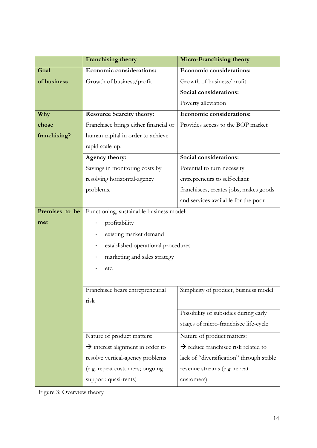|                | Franchising theory                           | <b>Micro-Franchising theory</b>                 |  |
|----------------|----------------------------------------------|-------------------------------------------------|--|
| Goal           | <b>Economic considerations:</b>              | <b>Economic considerations:</b>                 |  |
| of business    | Growth of business/profit                    | Growth of business/profit                       |  |
|                |                                              | Social considerations:                          |  |
|                |                                              | Poverty alleviation                             |  |
| Why            | <b>Resource Scarcity theory:</b>             | <b>Economic considerations:</b>                 |  |
| chose          | Franchisee brings either financial or        | Provides access to the BOP market               |  |
| franchising?   | human capital in order to achieve            |                                                 |  |
|                | rapid scale-up.                              |                                                 |  |
|                | Agency theory:                               | Social considerations:                          |  |
|                | Savings in monitoring costs by               | Potential to turn necessity                     |  |
|                | resolving horizontal-agency                  | entrepreneurs to self-reliant                   |  |
|                | problems.                                    | franchisees, creates jobs, makes goods          |  |
|                |                                              | and services available for the poor             |  |
| Premises to be | Functioning, sustainable business model:     |                                                 |  |
| met            | profitability                                |                                                 |  |
|                | existing market demand                       |                                                 |  |
|                | established operational procedures           |                                                 |  |
|                | marketing and sales strategy                 |                                                 |  |
|                | etc.                                         |                                                 |  |
|                |                                              |                                                 |  |
|                | Franchisee bears entrepreneurial             | Simplicity of product, business model           |  |
|                | risk                                         |                                                 |  |
|                |                                              | Possibility of subsidies during early           |  |
|                |                                              | stages of micro-franchisee life-cycle           |  |
|                | Nature of product matters:                   | Nature of product matters:                      |  |
|                | $\rightarrow$ interest alignment in order to | $\rightarrow$ reduce franchisee risk related to |  |
|                | resolve vertical-agency problems             | lack of "diversification" through stable        |  |
|                | (e.g. repeat customers; ongoing              | revenue streams (e.g. repeat                    |  |
|                | support; quasi-rents)                        | customers)                                      |  |

<span id="page-17-0"></span>Figure 3: Overview theory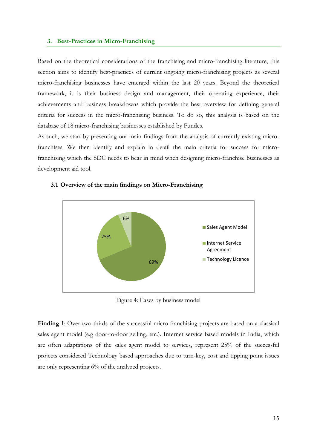#### <span id="page-18-0"></span>**3. Best-Practices in Micro-Franchising**

Based on the theoretical considerations of the franchising and micro-franchising literature, this section aims to identify best-practices of current ongoing micro-franchising projects as several micro-franchising businesses have emerged within the last 20 years. Beyond the theoretical framework, it is their business design and management, their operating experience, their achievements and business breakdowns which provide the best overview for defining general criteria for success in the micro-franchising business. To do so, this analysis is based on the database of 18 micro-franchising businesses established by Fundes.

As such, we start by presenting our main findings from the analysis of currently existing microfranchises. We then identify and explain in detail the main criteria for success for microfranchising which the SDC needs to bear in mind when designing micro-franchise businesses as development aid tool.



### <span id="page-18-1"></span>**3.1 Overview of the main findings on Micro-Franchising**

Figure 4: Cases by business model

<span id="page-18-2"></span>**Finding 1**: Over two thirds of the successful micro-franchising projects are based on a classical sales agent model (e.g door-to-door selling, etc.). Internet service based models in India, which are often adaptations of the sales agent model to services, represent 25% of the successful projects considered Technology based approaches due to turn-key, cost and tipping point issues are only representing 6% of the analyzed projects.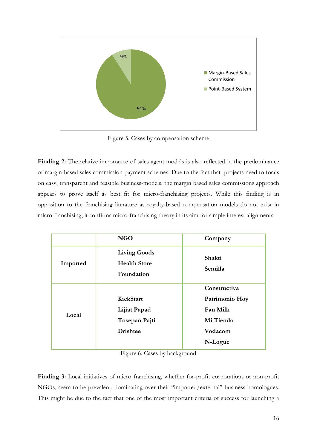

Figure 5: Cases by compensation scheme

<span id="page-19-0"></span>Finding 2: The relative importance of sales agent models is also reflected in the predominance of margin-based sales commission payment schemes. Due to the fact that projects need to focus on easy, transparent and feasible business-models, the margin based sales commissions approach appears to prove itself as best fit for micro-franchising projects. While this finding is in opposition to the franchising literature as royalty-based compensation models do not exist in micro-franchising, it confirms micro-franchising theory in its aim for simple interest alignments.

|          | <b>NGO</b>                                               | Company           |  |
|----------|----------------------------------------------------------|-------------------|--|
| Imported | <b>Living Goods</b><br><b>Health Store</b><br>Foundation | Shakti<br>Semilla |  |
|          |                                                          | Constructiva      |  |
| Local    | KickStart                                                | Patrimonio Hoy    |  |
|          | Lijiat Papad                                             | Fan Milk          |  |
|          | Tosepan Pajti                                            | Mi Tienda         |  |
|          | <b>Drishtee</b>                                          | Vodacom           |  |
|          |                                                          | N-Logue           |  |

Figure 6: Cases by background

<span id="page-19-1"></span>**Finding 3:** Local initiatives of micro franchising, whether for-profit corporations or non-profit NGOs, seem to be prevalent, dominating over their "imported/external" business homologues. This might be due to the fact that one of the most important criteria of success for launching a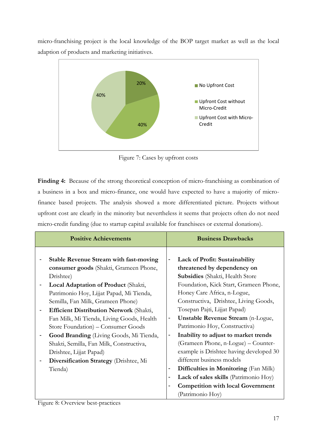micro-franchising project is the local knowledge of the BOP target market as well as the local adaption of products and marketing initiatives.



Figure 7: Cases by upfront costs

<span id="page-20-0"></span>**Finding 4:** Because of the strong theoretical conception of micro-franchising as combination of a business in a box and micro-finance, one would have expected to have a majority of microfinance based projects. The analysis showed a more differentiated picture. Projects without upfront cost are clearly in the minority but nevertheless it seems that projects often do not need micro-credit funding (due to startup capital available for franchisees or external donations).

| <b>Positive Achievements</b> |                                               |                                                                      | <b>Business Drawbacks</b>                |
|------------------------------|-----------------------------------------------|----------------------------------------------------------------------|------------------------------------------|
|                              | <b>Stable Revenue Stream with fast-moving</b> | $\overline{\phantom{0}}$                                             | <b>Lack of Profit: Sustainability</b>    |
|                              | consumer goods (Shakti, Grameen Phone,        |                                                                      | threatened by dependency on              |
|                              | Drishtee)                                     |                                                                      | <b>Subsidies</b> (Shakti, Health Store   |
|                              | Local Adaptation of Product (Shakti,          |                                                                      | Foundation, Kick Start, Grameen Phone,   |
|                              | Patrimonio Hoy, Lijjat Papad, Mi Tienda,      |                                                                      | Honey Care Africa, n-Logue,              |
|                              | Semilla, Fan Milk, Grameen Phone)             |                                                                      | Constructiva, Drishtee, Living Goods,    |
|                              | Efficient Distribution Network (Shakti,       | Tosepan Pajti, Lijjat Papad)                                         |                                          |
|                              | Fan Milk, Mi Tienda, Living Goods, Health     | <b>Unstable Revenue Stream</b> (n-Logue,<br>$\overline{\phantom{0}}$ |                                          |
|                              | Store Foundation) – Consumer Goods            |                                                                      | Patrimonio Hoy, Constructiva)            |
|                              | Good Branding (Living Goods, Mi Tienda,       | Inability to adjust to market trends<br>-                            |                                          |
|                              | Shakti, Semilla, Fan Milk, Constructiva,      |                                                                      | (Grameen Phone, n-Logue) - Counter-      |
|                              | Drishtee, Lijjat Papad)                       |                                                                      | example is Drishtee having developed 30  |
|                              | Diversification Strategy (Drishtee, Mi        |                                                                      | different business models                |
|                              | Tienda)                                       | -                                                                    | Difficulties in Monitoring (Fan Milk)    |
|                              |                                               | -                                                                    | Lack of sales skills (Patrimonio Hoy)    |
|                              |                                               | -                                                                    | <b>Competition with local Government</b> |
|                              |                                               |                                                                      | (Patrimonio Hoy)                         |

<span id="page-20-1"></span>Figure 8: Overview best-practices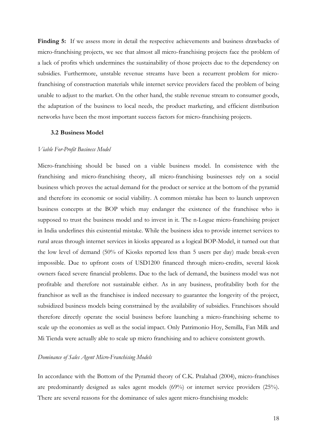Finding 5: If we assess more in detail the respective achievements and business drawbacks of micro-franchising projects, we see that almost all micro-franchising projects face the problem of a lack of profits which undermines the sustainability of those projects due to the dependency on subsidies. Furthermore, unstable revenue streams have been a recurrent problem for microfranchising of construction materials while internet service providers faced the problem of being unable to adjust to the market. On the other hand, the stable revenue stream to consumer goods, the adaptation of the business to local needs, the product marketing, and efficient distribution networks have been the most important success factors for micro-franchising projects.

#### <span id="page-21-0"></span>**3.2 Business Model**

#### *Viable For-Profit Business Model*

Micro-franchising should be based on a viable business model. In consistence with the franchising and micro-franchising theory, all micro-franchising businesses rely on a social business which proves the actual demand for the product or service at the bottom of the pyramid and therefore its economic or social viability. A common mistake has been to launch unproven business concepts at the BOP which may endanger the existence of the franchisee who is supposed to trust the business model and to invest in it. The n-Logue micro-franchising project in India underlines this existential mistake. While the business idea to provide internet services to rural areas through internet services in kiosks appeared as a logical BOP-Model, it turned out that the low level of demand (50% of Kiosks reported less than 5 users per day) made break-even impossible. Due to upfront costs of USD1200 financed through micro-credits, several kiosk owners faced severe financial problems. Due to the lack of demand, the business model was not profitable and therefore not sustainable either. As in any business, profitability both for the franchisor as well as the franchisee is indeed necessary to guarantee the longevity of the project, subsidized business models being constrained by the availability of subsidies. Franchisors should therefore directly operate the social business before launching a micro-franchising scheme to scale up the economies as well as the social impact. Only Patrimonio Hoy, Semilla, Fan Milk and Mi Tienda were actually able to scale up micro franchising and to achieve consistent growth.

#### *Dominance of Sales Agent Micro-Franchising Models*

In accordance with the Bottom of the Pyramid theory of C.K. Pralahad (2004), micro-franchises are predominantly designed as sales agent models (69%) or internet service providers (25%). There are several reasons for the dominance of sales agent micro-franchising models: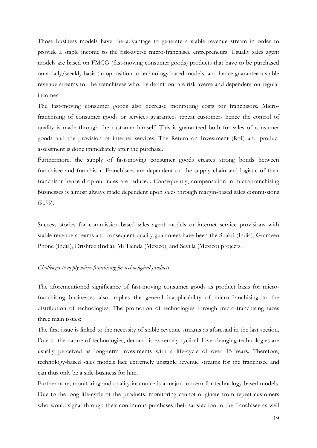Those business models have the advantage to generate a stable revenue stream in order to provide a stable income to the risk-averse micro-franchisee entrepreneurs. Usually sales agent models are based on FMCG (fast-moving consumer goods) products that have to be purchased on a daily/weekly basis (in opposition to technology based models) and hence guarantee a stable revenue streams for the franchisees who, by definition, are risk averse and dependent on regular incomes.

The fast-moving consumer goods also decrease monitoring costs for franchisors. Microfranchising of consumer goods or services guarantees repeat customers hence the control of quality is made through the customer himself. This is guaranteed both for sales of consumer goods and the provision of internet services. The Return on Investment (RoI) and product assessment is done immediately after the purchase.

Furthermore, the supply of fast-moving consumer goods creates strong bonds between franchisee and franchisor. Franchisees are dependent on the supply chain and logistic of their franchisor hence drop-out rates are reduced. Consequently, compensation in micro-franchising businesses is almost always made dependent upon sales through margin-based sales commissions  $(91\%)$ .

Success stories for commission-based sales agent models or internet service provisions with stable revenue streams and consequent quality guarantees have been the Shakti (India), Grameen Phone (India), Drishtee (India), Mi Tienda (Mexico), and Sevilla (Mexico) projects.

#### *Challenges to apply micro-franchising for technological products*

The aforementioned significance of fast-moving consumer goods as product basis for microfranchising businesses also implies the general inapplicability of micro-franchising to the distribution of technologies. The promotion of technologies through micro-franchising faces three main issues:

The first issue is linked to the necessity of stable revenue streams as aforesaid in the last section. Due to the nature of technologies, demand is extremely cyclical. Live-changing technologies are usually perceived as long-term investments with a life-cycle of over 15 years. Therefore, technology-based sales models face extremely unstable revenue streams for the franchisee and can thus only be a side-business for him.

Furthermore, monitoring and quality insurance is a major concern for technology-based models. Due to the long life-cycle of the products, monitoring cannot originate from repeat customers who would signal through their continuous purchases their satisfaction to the franchisee as well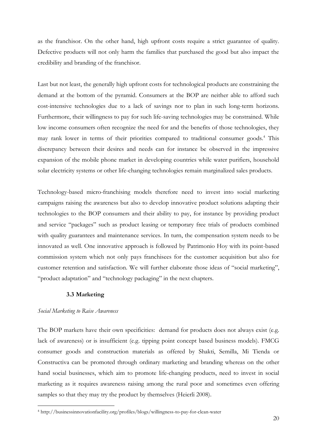as the franchisor. On the other hand, high upfront costs require a strict guarantee of quality. Defective products will not only harm the families that purchased the good but also impact the credibility and branding of the franchisor.

Last but not least, the generally high upfront costs for technological products are constraining the demand at the bottom of the pyramid. Consumers at the BOP are neither able to afford such cost-intensive technologies due to a lack of savings nor to plan in such long-term horizons. Furthermore, their willingness to pay for such life-saving technologies may be constrained. While low income consumers often recognize the need for and the benefits of those technologies, they may rank lower in terms of their priorities compared to traditional consumer goods.<sup>4</sup> This discrepancy between their desires and needs can for instance be observed in the impressive expansion of the mobile phone market in developing countries while water purifiers, household solar electricity systems or other life-changing technologies remain marginalized sales products.

Technology-based micro-franchising models therefore need to invest into social marketing campaigns raising the awareness but also to develop innovative product solutions adapting their technologies to the BOP consumers and their ability to pay, for instance by providing product and service "packages" such as product leasing or temporary free trials of products combined with quality guarantees and maintenance services. In turn, the compensation system needs to be innovated as well. One innovative approach is followed by Patrimonio Hoy with its point-based commission system which not only pays franchisees for the customer acquisition but also for customer retention and satisfaction. We will further elaborate those ideas of "social marketing", "product adaptation" and "technology packaging" in the next chapters.

## **3.3 Marketing**

## <span id="page-23-0"></span>*Social Marketing to Raise Awareness*

<u>.</u>

The BOP markets have their own specificities: demand for products does not always exist (e.g. lack of awareness) or is insufficient (e.g. tipping point concept based business models). FMCG consumer goods and construction materials as offered by Shakti, Semilla, Mi Tienda or Constructiva can be promoted through ordinary marketing and branding whereas on the other hand social businesses, which aim to promote life-changing products, need to invest in social marketing as it requires awareness raising among the rural poor and sometimes even offering samples so that they may try the product by themselves (Heierli 2008).

<sup>4</sup> http://businessinnovationfacility.org/profiles/blogs/willingness-to-pay-for-clean-water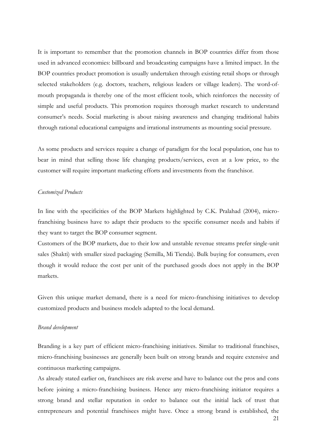It is important to remember that the promotion channels in BOP countries differ from those used in advanced economies: billboard and broadcasting campaigns have a limited impact. In the BOP countries product promotion is usually undertaken through existing retail shops or through selected stakeholders (e.g. doctors, teachers, religious leaders or village leaders). The word-ofmouth propaganda is thereby one of the most efficient tools, which reinforces the necessity of simple and useful products. This promotion requires thorough market research to understand consumer's needs. Social marketing is about raising awareness and changing traditional habits through rational educational campaigns and irrational instruments as mounting social pressure.

As some products and services require a change of paradigm for the local population, one has to bear in mind that selling those life changing products/services, even at a low price, to the customer will require important marketing efforts and investments from the franchisor.

#### *Customized Products*

In line with the specificities of the BOP Markets highlighted by C.K. Pralahad (2004), microfranchising business have to adapt their products to the specific consumer needs and habits if they want to target the BOP consumer segment.

Customers of the BOP markets, due to their low and unstable revenue streams prefer single-unit sales (Shakti) with smaller sized packaging (Semilla, Mi Tienda). Bulk buying for consumers, even though it would reduce the cost per unit of the purchased goods does not apply in the BOP markets.

Given this unique market demand, there is a need for micro-franchising initiatives to develop customized products and business models adapted to the local demand.

#### *Brand development*

Branding is a key part of efficient micro-franchising initiatives. Similar to traditional franchises, micro-franchising businesses are generally been built on strong brands and require extensive and continuous marketing campaigns.

As already stated earlier on, franchisees are risk averse and have to balance out the pros and cons before joining a micro-franchising business. Hence any micro-franchising initiator requires a strong brand and stellar reputation in order to balance out the initial lack of trust that entrepreneurs and potential franchisees might have. Once a strong brand is established, the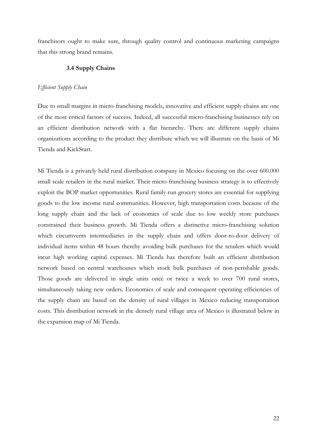<span id="page-25-0"></span>franchisors ought to make sure, through quality control and continuous marketing campaigns that this strong brand remains.

## **3.4 Supply Chains**

## *Efficient Supply Chain*

Due to small margins in micro-franchising models, innovative and efficient supply chains are one of the most critical factors of success. Indeed, all successful micro-franchising businesses rely on an efficient distribution network with a flat hierarchy. There are different supply chains organizations according to the product they distribute which we will illustrate on the basis of Mi Tienda and KickStart.

Mi Tienda is a privately held rural distribution company in Mexico focusing on the over 600.000 small scale retailers in the rural market. Their micro-franchising business strategy is to effectively exploit the BOP market opportunities. Rural family-run grocery stores are essential for supplying goods to the low income rural communities. However, high transportation costs because of the long supply chain and the lack of economies of scale due to low weekly store purchases constrained their business growth. Mi Tienda offers a distinctive micro-franchising solution which circumvents intermediaries in the supply chain and offers door-to-door delivery of individual items within 48 hours thereby avoiding bulk purchases for the retailers which would incur high working capital expenses. Mi Tienda has therefore built an efficient distribution network based on central warehouses which stock bulk purchases of non-perishable goods. Those goods are delivered in single units once or twice a week to over 700 rural stores, simultaneously taking new orders. Economies of scale and consequent operating efficiencies of the supply chain are based on the density of rural villages in Mexico reducing transportation costs. This distribution network in the densely rural village area of Mexico is illustrated below in the expansion map of Mi Tienda.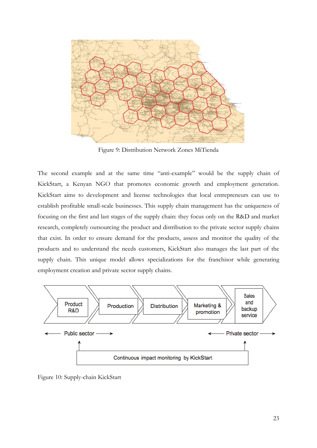

Figure 9: Distribution Network Zones MiTienda

<span id="page-26-0"></span>The second example and at the same time "anti-example" would be the supply chain of KickStart, a Kenyan NGO that promotes economic growth and employment generation. KickStart aims to development and license technologies that local entrepreneurs can use to establish profitable small-scale businesses. This supply chain management has the uniqueness of focusing on the first and last stages of the supply chain: they focus only on the R&D and market research, completely outsourcing the product and distribution to the private sector supply chains that exist. In order to ensure demand for the products, assess and monitor the quality of the products and to understand the needs customers, KickStart also manages the last part of the supply chain. This unique model allows specializations for the franchisor while generating employment creation and private sector supply chains.



<span id="page-26-1"></span>Figure 10: Supply-chain KickStart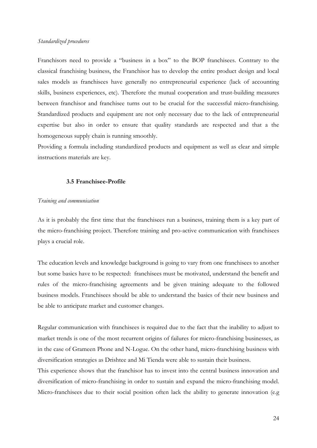#### *Standardized procedures*

Franchisors need to provide a "business in a box" to the BOP franchisees. Contrary to the classical franchising business, the Franchisor has to develop the entire product design and local sales models as franchisees have generally no entrepreneurial experience (lack of accounting skills, business experiences, etc). Therefore the mutual cooperation and trust-building measures between franchisor and franchisee turns out to be crucial for the successful micro-franchising. Standardized products and equipment are not only necessary due to the lack of entrepreneurial expertise but also in order to ensure that quality standards are respected and that a the homogeneous supply chain is running smoothly.

Providing a formula including standardized products and equipment as well as clear and simple instructions materials are key.

## **3.5 Franchisee-Profile**

#### <span id="page-27-0"></span>*Training and communication*

As it is probably the first time that the franchisees run a business, training them is a key part of the micro-franchising project. Therefore training and pro-active communication with franchisees plays a crucial role.

The education levels and knowledge background is going to vary from one franchisees to another but some basics have to be respected: franchisees must be motivated, understand the benefit and rules of the micro-franchising agreements and be given training adequate to the followed business models. Franchisees should be able to understand the basics of their new business and be able to anticipate market and customer changes.

Regular communication with franchisees is required due to the fact that the inability to adjust to market trends is one of the most recurrent origins of failures for micro-franchising businesses, as in the case of Grameen Phone and N-Logue. On the other hand, micro-franchising business with diversification strategies as Drishtee and Mi Tienda were able to sustain their business.

This experience shows that the franchisor has to invest into the central business innovation and diversification of micro-franchising in order to sustain and expand the micro-franchising model. Micro-franchisees due to their social position often lack the ability to generate innovation (e.g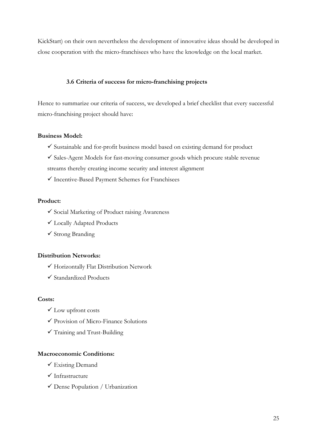KickStart) on their own nevertheless the development of innovative ideas should be developed in close cooperation with the micro-franchisees who have the knowledge on the local market.

## **3.6 Criteria of success for micro-franchising projects**

Hence to summarize our criteria of success, we developed a brief checklist that every successful micro-franchising project should have:

## **Business Model:**

- $\checkmark$  Sustainable and for-profit business model based on existing demand for product
- $\checkmark$  Sales-Agent Models for fast-moving consumer goods which procure stable revenue streams thereby creating income security and interest alignment
- $\checkmark$  Incentive-Based Payment Schemes for Franchisees

## **Product:**

- $\checkmark$  Social Marketing of Product raising Awareness
- Locally Adapted Products
- $\checkmark$  Strong Branding

## **Distribution Networks:**

- Horizontally Flat Distribution Network
- $\checkmark$  Standardized Products

## **Costs:**

- Low upfront costs
- Provision of Micro-Finance Solutions
- Training and Trust-Building

## **Macroeconomic Conditions:**

- $\checkmark$  Existing Demand
- $\checkmark$  Infrastructure
- Dense Population / Urbanization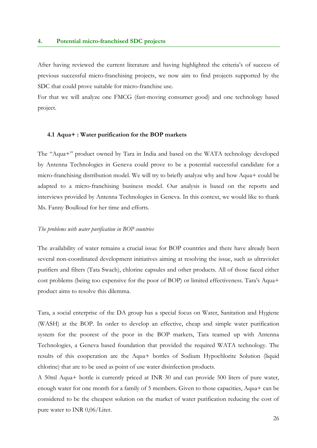### <span id="page-29-0"></span>**4. Potential micro-franchised SDC projects**

After having reviewed the current literature and having highlighted the criteria's of success of previous successful micro-franchising projects, we now aim to find projects supported by the SDC that could prove suitable for micro-franchise use.

For that we will analyze one FMCG (fast-moving consumer good) and one technology based project.

### <span id="page-29-1"></span>**4.1 Aqua+ : Water purification for the BOP markets**

The "Aqua+" product owned by Tara in India and based on the WATA technology developed by Antenna Technologies in Geneva could prove to be a potential successful candidate for a micro-franchising distribution model. We will try to briefly analyze why and how Aqua+ could be adapted to a micro-franchising business model. Our analysis is based on the reports and interviews provided by Antenna Technologies in Geneva. In this context, we would like to thank Ms. Fanny Boulloud for her time and efforts.

#### *The problems with water purification in BOP countries*

The availability of water remains a crucial issue for BOP countries and there have already been several non-coordinated development initiatives aiming at resolving the issue, such as ultraviolet purifiers and filters (Tata Swach), chlorine capsules and other products. All of those faced either cost problems (being too expensive for the poor of BOP) or limited effectiveness. Tara's Aqua+ product aims to resolve this dilemma.

Tara, a social enterprise of the DA group has a special focus on Water, Sanitation and Hygiene (WASH) at the BOP. In order to develop an effective, cheap and simple water purification system for the poorest of the poor in the BOP markets, Tara teamed up with Antenna Technologies, a Geneva based foundation that provided the required WATA technology. The results of this cooperation are the Aqua+ bottles of Sodium Hypochlorite Solution (liquid chlorine) that are to be used as point of use water disinfection products.

A 50ml Aqua+ bottle is currently priced at INR 30 and can provide 500 liters of pure water, enough water for one month for a family of 5 members. Given to those capacities, Aqua+ can be considered to be the cheapest solution on the market of water purification reducing the cost of pure water to INR 0,06/Liter.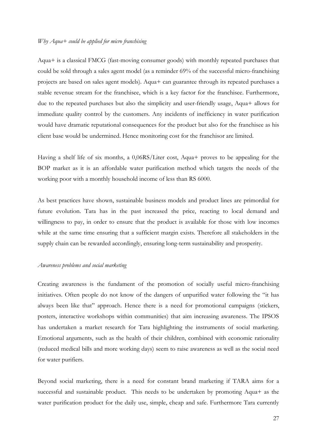### *Why Aqua+ could be applied for micro franchising*

Aqua+ is a classical FMCG (fast-moving consumer goods) with monthly repeated purchases that could be sold through a sales agent model (as a reminder 69% of the successful micro-franchising projects are based on sales agent models). Aqua+ can guarantee through its repeated purchases a stable revenue stream for the franchisee, which is a key factor for the franchisee. Furthermore, due to the repeated purchases but also the simplicity and user-friendly usage, Aqua+ allows for immediate quality control by the customers. Any incidents of inefficiency in water purification would have dramatic reputational consequences for the product but also for the franchisee as his client base would be undermined. Hence monitoring cost for the franchisor are limited.

Having a shelf life of six months, a 0,06RS/Liter cost, Aqua+ proves to be appealing for the BOP market as it is an affordable water purification method which targets the needs of the working poor with a monthly household income of less than RS 6000.

As best practices have shown, sustainable business models and product lines are primordial for future evolution. Tara has in the past increased the price, reacting to local demand and willingness to pay, in order to ensure that the product is available for those with low incomes while at the same time ensuring that a sufficient margin exists. Therefore all stakeholders in the supply chain can be rewarded accordingly, ensuring long-term sustainability and prosperity.

## *Awareness problems and social marketing*

Creating awareness is the fundament of the promotion of socially useful micro-franchising initiatives. Often people do not know of the dangers of unpurified water following the "it has always been like that" approach. Hence there is a need for promotional campaigns (stickers, posters, interactive workshops within communities) that aim increasing awareness. The IPSOS has undertaken a market research for Tara highlighting the instruments of social marketing. Emotional arguments, such as the health of their children, combined with economic rationality (reduced medical bills and more working days) seem to raise awareness as well as the social need for water purifiers.

Beyond social marketing, there is a need for constant brand marketing if TARA aims for a successful and sustainable product. This needs to be undertaken by promoting Aqua+ as the water purification product for the daily use, simple, cheap and safe. Furthermore Tara currently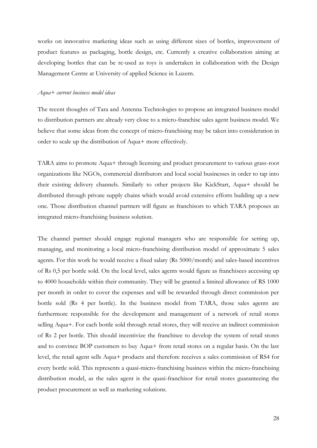works on innovative marketing ideas such as using different sizes of bottles, improvement of product features as packaging, bottle design, etc. Currently a creative collaboration aiming at developing bottles that can be re-used as toys is undertaken in collaboration with the Design Management Centre at University of applied Science in Luzern.

#### *Aqua+ current business model ideas*

The recent thoughts of Tara and Antenna Technologies to propose an integrated business model to distribution partners are already very close to a micro-franchise sales agent business model. We believe that some ideas from the concept of micro-franchising may be taken into consideration in order to scale up the distribution of Aqua+ more effectively.

TARA aims to promote Aqua+ through licensing and product procurement to various grass-root organizations like NGOs, commercial distributors and local social businesses in order to tap into their existing delivery channels. Similarly to other projects like KickStart, Aqua+ should be distributed through private supply chains which would avoid extensive efforts building up a new one. Those distribution channel partners will figure as franchisors to which TARA proposes an integrated micro-franchising business solution.

The channel partner should engage regional managers who are responsible for setting up, managing, and monitoring a local micro-franchising distribution model of approximate 5 sales agents. For this work he would receive a fixed salary (Rs 5000/month) and sales-based incentives of Rs 0,5 per bottle sold. On the local level, sales agents would figure as franchisees accessing up to 4000 households within their community. They will be granted a limited allowance of RS 1000 per month in order to cover the expenses and will be rewarded through direct commission per bottle sold (Rs 4 per bottle). In the business model from TARA, those sales agents are furthermore responsible for the development and management of a network of retail stores selling Aqua+. For each bottle sold through retail stores, they will receive an indirect commission of Rs 2 per bottle. This should incentivize the franchisee to develop the system of retail stores and to convince BOP customers to buy Aqua+ from retail stores on a regular basis. On the last level, the retail agent sells Aqua+ products and therefore receives a sales commission of RS4 for every bottle sold. This represents a quasi-micro-franchising business within the micro-franchising distribution model, as the sales agent is the quasi-franchisor for retail stores guaranteeing the product procurement as well as marketing solutions.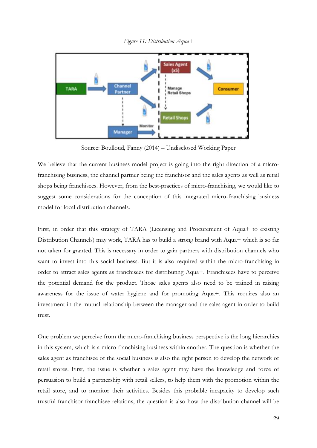<span id="page-32-0"></span>

*Figure 11: Distribution Aqua+*

Source: Boulloud, Fanny (2014) – Undisclosed Working Paper

We believe that the current business model project is going into the right direction of a microfranchising business, the channel partner being the franchisor and the sales agents as well as retail shops being franchisees. However, from the best-practices of micro-franchising, we would like to suggest some considerations for the conception of this integrated micro-franchising business model for local distribution channels.

First, in order that this strategy of TARA (Licensing and Procurement of Aqua+ to existing Distribution Channels) may work, TARA has to build a strong brand with Aqua+ which is so far not taken for granted. This is necessary in order to gain partners with distribution channels who want to invest into this social business. But it is also required within the micro-franchising in order to attract sales agents as franchisees for distributing Aqua+. Franchisees have to perceive the potential demand for the product. Those sales agents also need to be trained in raising awareness for the issue of water hygiene and for promoting Aqua+. This requires also an investment in the mutual relationship between the manager and the sales agent in order to build trust.

One problem we perceive from the micro-franchising business perspective is the long hierarchies in this system, which is a micro-franchising business within another. The question is whether the sales agent as franchisee of the social business is also the right person to develop the network of retail stores. First, the issue is whether a sales agent may have the knowledge and force of persuasion to build a partnership with retail sellers, to help them with the promotion within the retail store, and to monitor their activities. Besides this probable incapacity to develop such trustful franchisor-franchisee relations, the question is also how the distribution channel will be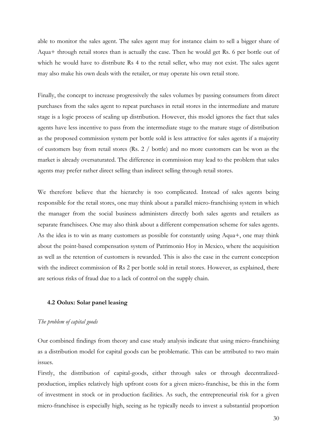able to monitor the sales agent. The sales agent may for instance claim to sell a bigger share of Aqua+ through retail stores than is actually the case. Then he would get Rs. 6 per bottle out of which he would have to distribute Rs 4 to the retail seller, who may not exist. The sales agent may also make his own deals with the retailer, or may operate his own retail store.

Finally, the concept to increase progressively the sales volumes by passing consumers from direct purchases from the sales agent to repeat purchases in retail stores in the intermediate and mature stage is a logic process of scaling up distribution. However, this model ignores the fact that sales agents have less incentive to pass from the intermediate stage to the mature stage of distribution as the proposed commission system per bottle sold is less attractive for sales agents if a majority of customers buy from retail stores (Rs. 2 / bottle) and no more customers can be won as the market is already oversaturated. The difference in commission may lead to the problem that sales agents may prefer rather direct selling than indirect selling through retail stores.

We therefore believe that the hierarchy is too complicated. Instead of sales agents being responsible for the retail stores, one may think about a parallel micro-franchising system in which the manager from the social business administers directly both sales agents and retailers as separate franchisees. One may also think about a different compensation scheme for sales agents. As the idea is to win as many customers as possible for constantly using Aqua+, one may think about the point-based compensation system of Patrimonio Hoy in Mexico, where the acquisition as well as the retention of customers is rewarded. This is also the case in the current conception with the indirect commission of Rs 2 per bottle sold in retail stores. However, as explained, there are serious risks of fraud due to a lack of control on the supply chain.

#### <span id="page-33-0"></span>**4.2 Oolux: Solar panel leasing**

### *The problem of capital goods*

Our combined findings from theory and case study analysis indicate that using micro-franchising as a distribution model for capital goods can be problematic. This can be attributed to two main issues.

Firstly, the distribution of capital-goods, either through sales or through decentralizedproduction, implies relatively high upfront costs for a given micro-franchise, be this in the form of investment in stock or in production facilities. As such, the entrepreneurial risk for a given micro-franchisee is especially high, seeing as he typically needs to invest a substantial proportion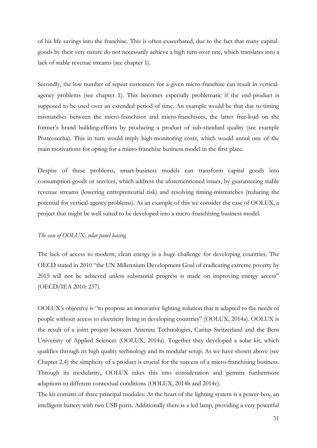of his life savings into the franchise. This is often exacerbated, due to the fact that many capitalgoods by their very nature do not necessarily achieve a high turn-over rate, which translates into a lack of stable revenue streams (see chapter 1).

Secondly, the low number of repeat customers for a given micro-franchise can result in verticalagency problems (see chapter 1). This becomes especially problematic if the end-product is supposed to be used over an extended period of time. An example would be that due to timing mismatches between the micro-franchisor and micro-franchisees, the latter free-load on the former's brand building-efforts by producing a product of sub-standard quality (see example Postcosecha). This in turn would imply high-monitoring costs, which would annul one of the main motivations for opting for a micro-franchise business model in the first place.

Despite of these problems, smart-business models can transform capital goods into consumption-goods or services, which address the aforementioned issues, by guaranteeing stable revenue streams (lowering entrepreneurial risk) and resolving timing-mismatches (reducing the potential for vertical-agency problems). As an example of this we consider the case of OOLUX, a project that might be well suited to be developed into a micro-franchising business model.

## *The case of OOLUX: solar panel leasing*

The lack of access to modern, clean energy is a huge challenge for developing countries. The OECD stated in 2010 "the UN Millennium Development Goal of eradicating extreme poverty by 2015 will not be achieved unless substantial progress is made on improving energy access" (OECD/IEA 2010: 237).

OOLUX's objective is "to propose an innovative lighting solution that is adapted to the needs of people without access to electricity living in developing countries" (OOLUX, 2014a). OOLUX is the result of a joint project between Antenna Technologies, Caritas Switzerland and the Bern University of Applied Sciences (OOLUX, 2014a). Together they developed a solar kit, which qualifies through its high quality technology and its modular setup. As we have shown above (see Chapter 2.4) the simplicity of a product is crucial for the success of a micro-franchising business. Through its modularity, OOLUX takes this into consideration and permits furthermore adaptions to different contextual conditions (OOLUX, 2014b and 2014c).

The kit consists of three principal modules: At the heart of the lighting system is a power-box, an intelligent battery with two USB ports. Additionally there is a led lamp, providing a very powerful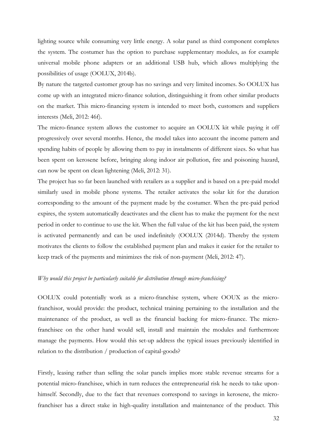lighting source while consuming very little energy. A solar panel as third component completes the system. The costumer has the option to purchase supplementary modules, as for example universal mobile phone adapters or an additional USB hub, which allows multiplying the possibilities of usage (OOLUX, 2014b).

By nature the targeted customer group has no savings and very limited incomes. So OOLUX has come up with an integrated micro-finance solution, distinguishing it from other similar products on the market. This micro-financing system is intended to meet both, customers and suppliers interests (Meli, 2012: 46f).

The micro-finance system allows the customer to acquire an OOLUX kit while paying it off progressively over several months. Hence, the model takes into account the income pattern and spending habits of people by allowing them to pay in instalments of different sizes. So what has been spent on kerosene before, bringing along indoor air pollution, fire and poisoning hazard, can now be spent on clean lightening (Meli, 2012: 31).

The project has so far been launched with retailers as a supplier and is based on a pre-paid model similarly used in mobile phone systems. The retailer activates the solar kit for the duration corresponding to the amount of the payment made by the costumer. When the pre-paid period expires, the system automatically deactivates and the client has to make the payment for the next period in order to continue to use the kit. When the full value of the kit has been paid, the system is activated permanently and can be used indefinitely (OOLUX (2014d). Thereby the system motivates the clients to follow the established payment plan and makes it easier for the retailer to keep track of the payments and minimizes the risk of non-payment (Meli, 2012: 47).

## *Why would this project be particularly suitable for distribution through micro-franchising?*

OOLUX could potentially work as a micro-franchise system, where OOUX as the microfranchisor, would provide: the product, technical training pertaining to the installation and the maintenance of the product, as well as the financial backing for micro-finance. The microfranchisee on the other hand would sell, install and maintain the modules and furthermore manage the payments. How would this set-up address the typical issues previously identified in relation to the distribution / production of capital-goods?

Firstly, leasing rather than selling the solar panels implies more stable revenue streams for a potential micro-franchisee, which in turn reduces the entrepreneurial risk he needs to take uponhimself. Secondly, due to the fact that revenues correspond to savings in kerosene, the microfranchiser has a direct stake in high-quality installation and maintenance of the product. This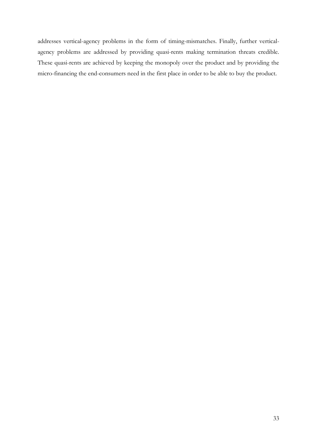addresses vertical-agency problems in the form of timing-mismatches. Finally, further verticalagency problems are addressed by providing quasi-rents making termination threats credible. These quasi-rents are achieved by keeping the monopoly over the product and by providing the micro-financing the end-consumers need in the first place in order to be able to buy the product.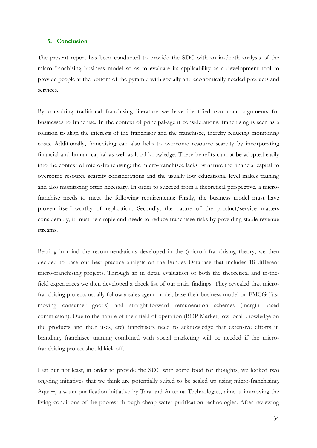## <span id="page-37-0"></span>**5. Conclusion**

The present report has been conducted to provide the SDC with an in-depth analysis of the micro-franchising business model so as to evaluate its applicability as a development tool to provide people at the bottom of the pyramid with socially and economically needed products and services.

By consulting traditional franchising literature we have identified two main arguments for businesses to franchise. In the context of principal-agent considerations, franchising is seen as a solution to align the interests of the franchisor and the franchisee, thereby reducing monitoring costs. Additionally, franchising can also help to overcome resource scarcity by incorporating financial and human capital as well as local knowledge. These benefits cannot be adopted easily into the context of micro-franchising; the micro-franchisee lacks by nature the financial capital to overcome resource scarcity considerations and the usually low educational level makes training and also monitoring often necessary. In order to succeed from a theoretical perspective, a microfranchise needs to meet the following requirements: Firstly, the business model must have proven itself worthy of replication. Secondly, the nature of the product/service matters considerably, it must be simple and needs to reduce franchisee risks by providing stable revenue streams.

Bearing in mind the recommendations developed in the (micro-) franchising theory, we then decided to base our best practice analysis on the Fundes Database that includes 18 different micro-franchising projects. Through an in detail evaluation of both the theoretical and in-thefield experiences we then developed a check list of our main findings. They revealed that microfranchising projects usually follow a sales agent model, base their business model on FMCG (fast moving consumer goods) and straight-forward remuneration schemes (margin based commission). Due to the nature of their field of operation (BOP Market, low local knowledge on the products and their uses, etc) franchisors need to acknowledge that extensive efforts in branding, franchisee training combined with social marketing will be needed if the microfranchising project should kick off.

Last but not least, in order to provide the SDC with some food for thoughts, we looked two ongoing initiatives that we think are potentially suited to be scaled up using micro-franchising. Aqua+, a water purification initiative by Tara and Antenna Technologies, aims at improving the living conditions of the poorest through cheap water purification technologies. After reviewing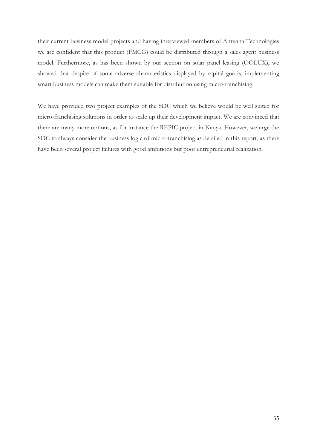their current business model projects and having interviewed members of Antenna Technologies we are confident that this product (FMCG) could be distributed through a sales agent business model. Furthermore, as has been shown by our section on solar panel leasing (OOLUX), we showed that despite of some adverse characteristics displayed by capital goods, implementing smart business models can make them suitable for distribution using micro-franchising.

We have provided two project examples of the SDC which we believe would be well suited for micro-franchising solutions in order to scale up their development impact. We are convinced that there are many more options, as for instance the REPIC project in Kenya. However, we urge the SDC to always consider the business logic of micro-franchising as detailed in this report, as there have been several project failures with good ambitions but poor entrepreneurial realization.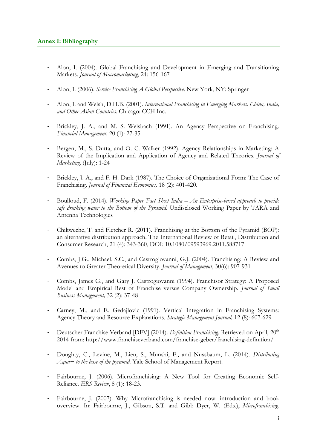- <span id="page-39-0"></span>- Alon, I. (2004). Global Franchising and Development in Emerging and Transitioning Markets. *Journal of Macromarketing*, 24: 156-167
- Alon, I. (2006). *Service Franchising A Global Perspective*. New York, NY: Springer
- Alon, I. and Welsh, D.H.B. (2001). *International Franchising in Emerging Markets: China, India, and Other Asian Countries.* Chicago: CCH Inc.
- Brickley, J. A., and M. S. Weisbach (1991). An Agency Perspective on Franchising. *Financial Management,* 20 (1): 27-35
- Bergen, M., S. Dutta, and O. C. Walker (1992). Agency Relationships in Marketing: A Review of the Implication and Application of Agency and Related Theories. *Journal of Marketing,* (July): 1-24
- Brickley, J. A., and F. H. Dark (1987). The Choice of Organizational Form: The Case of Franchising. *Journal of Financial Economics,* 18 (2): 401-420.
- Boulloud, F. (2014). *Working Paper Fact Sheet India – An Enterprise-based approach to provide safe drinking water to the Bottom of the Pyramid*. Undisclosed Working Paper by TARA and Antenna Technologies
- Chikweche, T. and Fletcher R. (2011). Franchising at the Bottom of the Pyramid (BOP): an alternative distribution approach. The International Review of Retail, Distribution and Consumer Research, 21 (4): 343-360, DOI: 10.1080/09593969.2011.588717
- Combs, J.G., Michael, S.C., and Castrogiovanni, G.J. (2004). Franchising: A Review and Avenues to Greater Theoretical Diversity. *Journal of Management*, 30(6): 907-931
- Combs, James G., and Gary J. Castrogiovanni (1994). Franchisor Strategy: A Proposed Model and Empirical Rest of Franchise versus Company Ownership. *Journal of Small Business Management,* 32 (2): 37-48
- Carney, M., and E. Gedajlovic (1991). Vertical Integration in Franchising Systems: Agency Theory and Resource Explanations. *Strategic Management Journal,* 12 (8): 607-629
- Deutscher Franchise Verband [DFV] (2014). *Definition Franchising*. Retrieved on April, 20<sup>th</sup> 2014 from: http://www.franchiseverband.com/franchise-geber/franchising-definition/
- Doughty, C., Levine, M., Lieu, S., Munshi, F., and Nussbaum, L. (2014). *Distributing Aqua+ to the base of the pyramid.* Yale School of Management Report.
- Fairbourne, J. (2006). Microfranchising: A New Tool for Creating Economic Self-Reliance. *ERS Review*, 8 (1): 18-23.
- Fairbourne, J. (2007). Why Microfranchising is needed now: introduction and book overview. In: Fairbourne, J., Gibson, S.T. and Gibb Dyer, W. (Eds.), *Microfranchising.*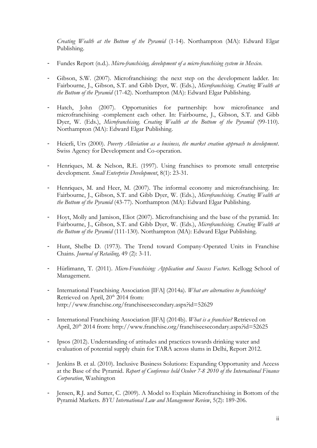*Creating Wealth at the Bottom of the Pyramid* (1-14). Northampton (MA): Edward Elgar Publishing.

- Fundes Report (n.d.). *Micro-franchising, development of a micro-franchising system in Mexico*.
- Gibson, S.W. (2007). Microfranchising: the next step on the development ladder. In: Fairbourne, J., Gibson, S.T. and Gibb Dyer, W. (Eds.), *Microfranchising. Creating Wealth at the Bottom of the Pyramid* (17-42). Northampton (MA): Edward Elgar Publishing.
- Hatch, John (2007). Opportunities for partnership: how microfinance and microfranchising -complement each other. In: Fairbourne, J., Gibson, S.T. and Gibb Dyer, W. (Eds.), *Microfranchising. Creating Wealth at the Bottom of the Pyramid* (99-110). Northampton (MA): Edward Elgar Publishing.
- Heierli, Urs (2000). *Poverty Alleviation as a business, the market creation approach to development.* Swiss Agency for Development and Co-operation.
- Henriques, M. & Nelson, R.E. (1997). Using franchises to promote small enterprise development*. Small Enterprise Development*, 8(1): 23-31.
- Henriques, M. and Heer, M. (2007). The informal economy and microfranchising. In: Fairbourne, J., Gibson, S.T. and Gibb Dyer, W. (Eds.), *Microfranchising. Creating Wealth at the Bottom of the Pyramid* (43-77). Northampton (MA): Edward Elgar Publishing.
- Hoyt, Molly and Jamison, Eliot (2007). Microfranchising and the base of the pyramid. In: Fairbourne, J., Gibson, S.T. and Gibb Dyer, W. (Eds.), *Microfranchising. Creating Wealth at the Bottom of the Pyramid* (111-130). Northampton (MA): Edward Elgar Publishing.
- Hunt, Shelbe D. (1973). The Trend toward Company-Operated Units in Franchise Chains. *Journal of Retailing,* 49 (2): 3-11.
- Hürlimann, T. (2011). *Micro-Franchising: Application and Success Factors*. Kellogg School of Management.
- International Franchising Association [IFA] (2014a). *What are alternatives to franchising?* Retrieved on April, 20<sup>th</sup> 2014 from: http://www.franchise.org/franchiseesecondary.aspx?id=52629
- International Franchising Association [IFA] (2014b). *What is a franchise?* Retrieved on April, 20<sup>th</sup> 2014 from: http://www.franchise.org/franchiseesecondary.aspx?id=52625
- Ipsos (2012). Understanding of attitudes and practices towards drinking water and evaluation of potential supply chain for TARA across slums in Delhi, Report 2012.
- Jenkins B. et al. (2010). Inclusive Business Solutions: Expanding Opportunity and Access at the Base of the Pyramid. *Report of Conference held Ocober 7-8 2010 of the International Finance Corporation*, Washington
- Jensen, R.J. and Sutter, C. (2009). A Model to Explain Microfranchising in Bottom of the Pyramid Markets. *BYU International Law and Management Review*, 5(2): 189-206.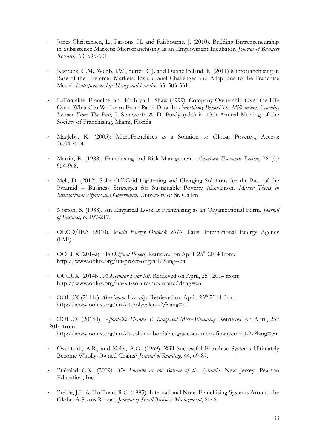- Jones Christensen, L., Parsons, H. and Fairbourne, J. (2010). Building Entrepreneurship in Subsistence Markets: Microfranchising as an Employment Incubator. *Journal of Business Research*, 63: 595-601.
- Kistruck, G.M., Webb, J.W., Sutter, C.J. and Duane Ireland, R. (2011) Microfranchising in Base-of-the –Pyramid Markets: Institutional Challenges and Adaptions to the Franchise Model. *Entrepreneurship Theory and Practice*, 35: 503-531.
- LaFontaine, Francine, and Kathryn L. Shaw (1999). Company-Ownership Over the Life Cycle: What Can We Learn From Panel Data. In *Franchising Beyond The Millennium: Learning Lessons From The Past,* J. Stanworth & D. Purdy (eds.) in 13th Annual Meeting of the Society of Franchising, Miami, Florida
- Magleby, K. (2005): MicroFranchises as a Solution to Global Poverty., Access: 26.04.2014.
- Martin, R. (1988). Franchising and Risk Management. *American Economic Review,* 78 (5): 954-968.
- Meli, D. (2012). Solar Off-Grid Lightening and Charging Solutions for the Base of the Pyramid – Business Strategies for Sustainable Poverty Alleviation. *Master Thesis in International Affairs and Governance.* University of St. Gallen.
- Norton, S. (1988). An Empirical Look at Franchising as an Organizational Form. *Journal of Business, 6:* 197-217.
- OECD/IEA (2010). *World Energy Outlook 2010*. Paris: International Energy Agency (IAE).
- OOLUX (2014a). *An Original Project*. Retrieved on April, 25<sup>th</sup> 2014 from: http://www.oolux.org/un-projet-original/?lang=en
- OOLUX (2014b). *A Modular Solar Kit*. Retrieved on April, 25<sup>th</sup> 2014 from: http://www.oolux.org/un-kit-solaire-modulaire/?lang=en
- OOLUX (2014c). *Maximum Versality*. Retrieved on April, 25<sup>th</sup> 2014 from: http://www.oolux.org/un-kit-polyvalent-2/?lang=en

- OOLUX (2014d). *Affordable Thanks To Integrated Micro-Financing*. Retrieved on April, 25<sup>th</sup> 2014 from:

http://www.oolux.org/un-kit-solaire-abordable-grace-au-micro-financement-2/?lang=en

- Oxenfeldt, A.R., and Kelly, A.O. (1969). Will Successful Franchise Systems Ultimately Become Wholly-Owned Chains? *Journal of Retailing,* 44, 69-87.
- Prahalad C.K. (2009): *The Fortune at the Bottom of the Pyramid*. New Jersey: Pearson Education, Inc.
- Preble, J.F. & Hoffman, R.C. (1995). International Note: Franchising Systems Around the Globe: A Status Report. *Journal of Small Business Management,* 80: 8.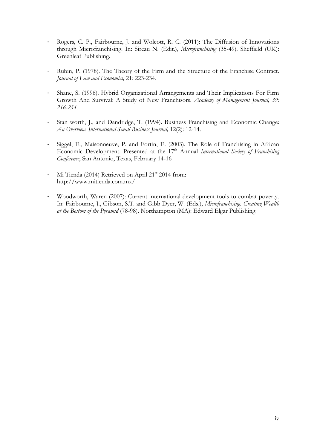- Rogers, C. P., Fairbourne, J. and Wolcott, R. C. (2011): The Diffusion of Innovations through Microfranchising. In: Sireau N. (Edit.), *Microfranchising* (35-49). Sheffield (UK): Greenleaf Publishing.
- Rubin, P. (1978). The Theory of the Firm and the Structure of the Franchise Contract. *Journal of Law and Economics,* 21: 223-234.
- Shane, S. (1996). Hybrid Organizational Arrangements and Their Implications For Firm Growth And Survival: A Study of New Franchisors. *Academy of Management Journal, 39: 216-234.*
- Stan worth, J., and Dandridge, T. (1994). Business Franchising and Economic Change: *An Overview. International Small Business Journal,* 12(2): 12-14.
- Siggel, E., Maisonneuve, P. and Fortin, E. (2003). The Role of Franchising in African Economic Development. Presented at the 17<sup>th</sup> Annual *International Society of Franchising Conference*, San Antonio, Texas, February 14-16
- Mi Tienda (2014) Retrieved on April 21<sup>st</sup> 2014 from: http://www.mitienda.com.mx/
- Woodworth, Waren (2007): Current international development tools to combat poverty. In: Fairbourne, J., Gibson, S.T. and Gibb Dyer, W. (Eds.), *Microfranchising. Creating Wealth at the Bottom of the Pyramid* (78-98). Northampton (MA): Edward Elgar Publishing.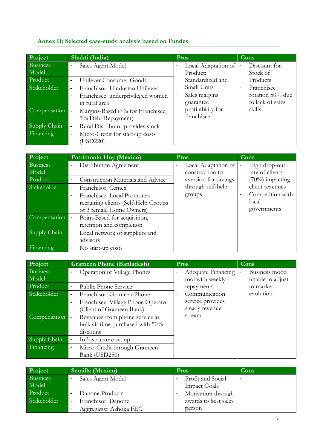# <span id="page-43-0"></span>**Annex II: Selected case-study analysis based on Fundes**

| Project                  | Shakti (India)                                                                                                                                   | <b>Pros</b>                               | <b>Cons</b>                                                          |
|--------------------------|--------------------------------------------------------------------------------------------------------------------------------------------------|-------------------------------------------|----------------------------------------------------------------------|
| <b>Business</b><br>Model | Sales Agent Model<br>-                                                                                                                           | Local Adaptation of<br>Product:           | Discount for<br>Stock of                                             |
| Product                  | Unilever Consumer Goods<br>$\overline{\phantom{a}}$                                                                                              | Standardized and                          | Products                                                             |
| Stakeholder              | Franchisor: Hindustan Unilever<br>$\overline{\phantom{a}}$<br>Franchisee: underprivileged women<br>$\qquad \qquad \blacksquare$<br>in rural area | Small Units<br>Sales margins<br>guarantee | Franchisee<br>$\blacksquare$<br>rotation 50% due<br>to lack of sales |
| Compensation -           | Margins-Based (7% for Franchisee,<br>3% Debt Repayment)                                                                                          | profitability for<br>franchisee           | skills                                                               |
| Supply Chain             | Rural Distributor provides stock<br>$\overline{a}$                                                                                               |                                           |                                                                      |
| Financing                | Micro-Credit for start-up costs<br>$\overline{\phantom{a}}$<br>(USD220)                                                                          |                                           |                                                                      |

| Project         | <b>Patrimonio Hoy (Mexico)</b>                                       | Pros                 | <b>Cons</b>                        |
|-----------------|----------------------------------------------------------------------|----------------------|------------------------------------|
| <b>Business</b> | Distribution Agreement<br>-                                          | Local Adaptation of  | High drop-out                      |
| Model           |                                                                      | construction to      | rate of clients                    |
| Product         | <b>Construction Materials and Advice</b><br>$\overline{\phantom{a}}$ | aversion for savings | $(70\%)$ impacting                 |
| Stakeholder     | Franchisor: Cemex<br>$\blacksquare$                                  | through self-help    | client revenues                    |
|                 | Franchisee: Local Promoters<br>$\blacksquare$                        | groups               | Competition with<br>$\blacksquare$ |
|                 | recruiting clients (Self-Help Groups                                 |                      | local                              |
|                 | of 3 female Home Owners)                                             |                      | governments                        |
| Compensation  - | Point-Based for acquisition,                                         |                      |                                    |
|                 | retention and completion                                             |                      |                                    |
| Supply Chain    | Local network of suppliers and<br>$\overline{\phantom{a}}$           |                      |                                    |
|                 | advisors                                                             |                      |                                    |
| Financing       | No start-up costs<br>$\overline{\phantom{a}}$                        |                      |                                    |

| Project                  | <b>Grameen Phone (Banladesh)</b>                                                                                                 | Pros                                                                  | Cons                                    |
|--------------------------|----------------------------------------------------------------------------------------------------------------------------------|-----------------------------------------------------------------------|-----------------------------------------|
| <b>Business</b><br>Model | Operation of Village Phones<br>-                                                                                                 | Adequate Financing<br>$\blacksquare$<br>tool with weekly              | Business model<br>-<br>unable to adjust |
| Product                  | Public Phone Service<br>$\overline{\phantom{0}}$                                                                                 | repayments                                                            | to market                               |
| Stakeholder              | Franchisor: Grameen Phone<br>$\qquad \qquad \blacksquare$<br>Franchisee: Village Phone Operator<br>-<br>(Client of Grameen Bank) | Communication<br>$\blacksquare$<br>service provides<br>steady revenue | evolution                               |
| Compensation -           | Revenues from phone service as<br>bulk air time purchased with 50%<br>discount                                                   | stream                                                                |                                         |
| Supply Chain             | Infrastructure set up                                                                                                            |                                                                       |                                         |
| Financing                | Micro-Credit through Grameen<br>-<br>Bank (USD250)                                                                               |                                                                       |                                         |

| Project         | Semilla (Mexico)                               | <b>Pros</b>                                   | Cons                     |
|-----------------|------------------------------------------------|-----------------------------------------------|--------------------------|
| <b>Business</b> | Sales Agent Model<br>$\overline{\phantom{a}}$  | Profit and Social<br>$\overline{\phantom{a}}$ | $\overline{\phantom{0}}$ |
| Model           |                                                | <b>Impact Goals</b>                           |                          |
| Product         | Danone Products<br>$\overline{\phantom{a}}$    | Motivation through                            |                          |
| Stakeholder     | Franchisor: Danone<br>$\overline{\phantom{a}}$ | awards to best sales                          |                          |
|                 | Aggregator: Ashoka FEC<br>-                    | person                                        |                          |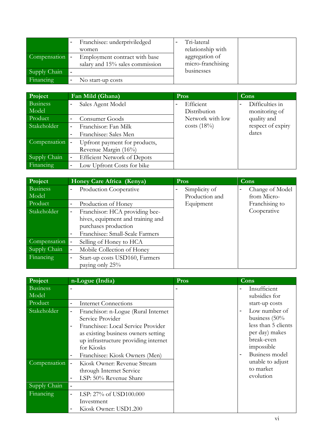|                | Franchisee: underpriviledged<br>women                            | Tri-lateral<br>relationship with    |
|----------------|------------------------------------------------------------------|-------------------------------------|
| Compensation - | Employment contract with base<br>salary and 15% sales commission | aggregation of<br>micro-franchising |
| Supply Chain   | $\overline{\phantom{a}}$                                         | businesses                          |
| Financing      | No start-up costs                                                |                                     |

| Project                  | Fan Mild (Ghana)                                                        | Pros                      | Cons                                               |
|--------------------------|-------------------------------------------------------------------------|---------------------------|----------------------------------------------------|
| <b>Business</b><br>Model | Sales Agent Model<br>۰                                                  | Efficient<br>Distribution | Difficulties in<br>$\blacksquare$<br>monitoring of |
| Product                  | Consumer Goods<br>$\blacksquare$                                        | Network with low          | quality and                                        |
| Stakeholder              | Franchisor: Fan Milk<br>$\overline{\phantom{a}}$                        | costs $(18\%)$            | respect of expiry                                  |
|                          | Franchisee: Sales Men<br>$\blacksquare$                                 |                           | dates                                              |
| Compensation             | Upfront payment for products,<br>$\blacksquare$<br>Revenue Margin (16%) |                           |                                                    |
| Supply Chain             | <b>Efficient Network of Depots</b><br>$\overline{\phantom{0}}$          |                           |                                                    |
| Financing                | Low Upfront Costs for bike<br>$\overline{\phantom{a}}$                  |                           |                                                    |

| Project      | Honey Care Africa (Kenya)                                                     | Pros           | Cons            |
|--------------|-------------------------------------------------------------------------------|----------------|-----------------|
| Business     | Production Cooperative                                                        | Simplicity of  | Change of Model |
| Model        |                                                                               | Production and | from Micro-     |
| Product      | Production of Honey<br>$\overline{\phantom{a}}$                               | Equipment      | Franchising to  |
| Stakeholder  | Franchisor: HCA providing bee-<br>-                                           |                | Cooperative     |
|              | hives, equipment and training and                                             |                |                 |
|              | purchases production                                                          |                |                 |
|              | Franchisee: Small-Scale Farmers<br>$\blacksquare$                             |                |                 |
| Compensation | Selling of Honey to HCA                                                       |                |                 |
| Supply Chain | Mobile Collection of Honey<br>$\qquad \qquad \blacksquare$                    |                |                 |
| Financing    | Start-up costs USD160, Farmers<br>$\overline{\phantom{a}}$<br>paying only 25% |                |                 |

| Project                  | n-Logue (India)                                                                                                                                                                                                                                                                                             | Pros | Cons                                                                                                                     |
|--------------------------|-------------------------------------------------------------------------------------------------------------------------------------------------------------------------------------------------------------------------------------------------------------------------------------------------------------|------|--------------------------------------------------------------------------------------------------------------------------|
| <b>Business</b><br>Model |                                                                                                                                                                                                                                                                                                             |      | Insufficient<br>subsidies for                                                                                            |
| Product                  | <b>Internet Connections</b><br>$\qquad \qquad \blacksquare$                                                                                                                                                                                                                                                 |      | start-up costs                                                                                                           |
| Stakeholder              | Franchisor: n-Logue (Rural Internet)<br>$\qquad \qquad \blacksquare$<br>Service Provider<br>Franchisee: Local Service Provider<br>$\blacksquare$<br>as existing business owners setting<br>up infrastructure providing internet<br>for Kiosks<br>Franchisee: Kiosk Owners (Men)<br>$\overline{\phantom{a}}$ |      | Low number of<br>business $(50\%$<br>less than 5 clients<br>per day) makes<br>break-even<br>impossible<br>Business model |
| Compensation             | Kiosk Owner: Revenue Stream<br>$\blacksquare$<br>through Internet Service<br>LSP: 50% Revenue Share<br>$\blacksquare$                                                                                                                                                                                       |      | unable to adjust<br>to market<br>evolution                                                                               |
| Supply Chain             | $\overline{\phantom{a}}$                                                                                                                                                                                                                                                                                    |      |                                                                                                                          |
| Financing                | LSP: 27% of USD100.000<br>$\overline{\phantom{a}}$<br>Investment<br>Kiosk Owner: USD1.200                                                                                                                                                                                                                   |      |                                                                                                                          |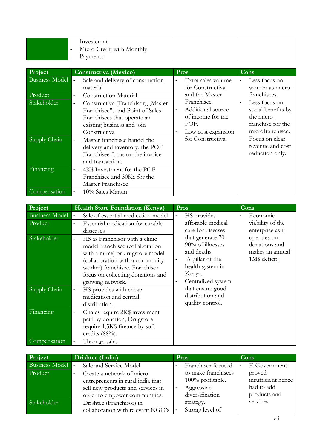| Investemnt<br>Micro-Credit with Monthly<br>$\overline{\phantom{0}}$ |  |
|---------------------------------------------------------------------|--|
| Payments                                                            |  |

| Project                     | Constructiva (Mexico)                                                                                                                                                                                         | Pros                                                                                                                            | Cons                                                                                                                          |
|-----------------------------|---------------------------------------------------------------------------------------------------------------------------------------------------------------------------------------------------------------|---------------------------------------------------------------------------------------------------------------------------------|-------------------------------------------------------------------------------------------------------------------------------|
| <b>Business Model</b>       | Sale and delivery of construction<br>material                                                                                                                                                                 | Extra sales volume<br>for Constructiva                                                                                          | Less focus on<br>women as micro-                                                                                              |
| Product                     | <b>Construction Material</b>                                                                                                                                                                                  | and the Master                                                                                                                  | franchisees.                                                                                                                  |
| Stakeholder<br>Supply Chain | Constructiva (Franchisor), Master<br>$\overline{\phantom{0}}$<br>Franchisee"s and Point of Sales<br>Franchisees that operate an<br>existing business and join<br>Constructiva<br>Master franchisee handel the | Franchisee.<br>Additional source<br>$\overline{a}$<br>of income for the<br>POF.<br>Low cost expansion<br>-<br>for Constructiva. | Less focus on<br>social benefits by<br>the micro<br>franchise for the<br>microfranchisee.<br>Focus on clear<br>$\blacksquare$ |
|                             | delivery and inventory, the POF<br>Franchisee focus on the invoice<br>and transaction.                                                                                                                        |                                                                                                                                 | revenue and cost<br>reduction only.                                                                                           |
| Financing                   | 4K\$ Investment for the POF<br>$\overline{\phantom{0}}$<br>Franchisee and 30K\$ for the<br>Master Franchisee                                                                                                  |                                                                                                                                 |                                                                                                                               |
| Compensation                | 10% Sales Margin                                                                                                                                                                                              |                                                                                                                                 |                                                                                                                               |

| Project                          | <b>Health Store Foundation (Kenya)</b>                                                                                                                                                                                                                          | Pros                                                                                                                             | Cons                                                             |
|----------------------------------|-----------------------------------------------------------------------------------------------------------------------------------------------------------------------------------------------------------------------------------------------------------------|----------------------------------------------------------------------------------------------------------------------------------|------------------------------------------------------------------|
| <b>Business Model</b><br>Product | Sale of essential medication model<br>Essential medication for curable<br>$\blacksquare$<br>disseases                                                                                                                                                           | HS provides<br>-<br>afforable medical<br>care for diseases                                                                       | Economic<br>viability of the<br>enterprise as it                 |
| Stakeholder                      | HS as Franchisor with a clinic<br>$\overline{\phantom{0}}$<br>model franchisee (collaboration<br>with a nurse) or drugstore model<br>(collaboration with a community<br>worker) franchisee. Franchisor<br>focus on collecting donations and<br>growing network. | that generate 70-<br>90% of illnesses<br>and deaths.<br>A pillar of the<br>health system in<br>Kenya.<br>Centralized system<br>- | operates on<br>donations and<br>makes an annual<br>1M\$ deficit. |
| Supply Chain                     | HS provides with cheap<br>medication and central<br>distribution.                                                                                                                                                                                               | that ensure good<br>distribution and<br>quality control.                                                                         |                                                                  |
| Financing                        | Clinics require 2K\$ investment<br>$\overline{\phantom{a}}$<br>paid by donation, Drugstore<br>require 1,5K\$ finance by soft<br>credits $(88%)$ .                                                                                                               |                                                                                                                                  |                                                                  |
| Compensation                     | Through sales                                                                                                                                                                                                                                                   |                                                                                                                                  |                                                                  |

| Project        | Drishtee (India)                                      | <b>Pros</b>         | Cons               |
|----------------|-------------------------------------------------------|---------------------|--------------------|
| Business Model | Sale and Service Model                                | Franchisor focused  | E-Government       |
| Product        | Create a network of micro<br>$\overline{\phantom{0}}$ | to make franchisees | proved             |
|                | entrepreneurs in rural india that                     | $100\%$ profitable. | insufficient hence |
|                | sell new products and services in                     | Aggressive          | had to add         |
|                | order to empower communities.                         | diversification     | products and       |
| Stakeholder    | Drishtee (Franchisor) in<br>$\blacksquare$            | strategy.           | services.          |
|                | collaboration with relevant NGO's                     | Strong level of     |                    |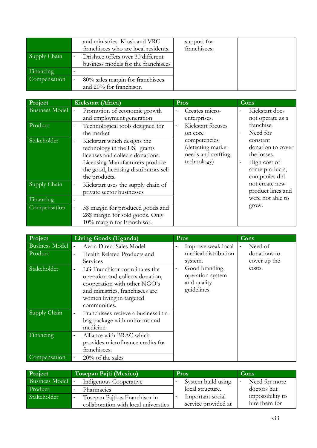|              | and ministries. Kiosk and VRC        | support for  |  |
|--------------|--------------------------------------|--------------|--|
|              | franchisees who are local residents. | franchisees. |  |
| Supply Chain | Drishtee offers over 30 different    |              |  |
|              | business models for the franchisees  |              |  |
| Financing    |                                      |              |  |
| Compensation | 80% sales margin for franchisees     |              |  |
|              | and 20% for franchisor.              |              |  |

| Project               | Kickstart (Africa)                                                                                                                                                                                                       | Pros                                                                   | Cons                                                                                                              |
|-----------------------|--------------------------------------------------------------------------------------------------------------------------------------------------------------------------------------------------------------------------|------------------------------------------------------------------------|-------------------------------------------------------------------------------------------------------------------|
| <b>Business Model</b> | Promotion of economic growth<br>$\qquad \qquad \blacksquare$<br>and employment generation                                                                                                                                | Creates micro-<br>enterprises.                                         | Kickstart does<br>not operate as a                                                                                |
| Product               | Technological tools designed for<br>$\qquad \qquad \blacksquare$<br>the market                                                                                                                                           | Kickstart focuses<br>$\blacksquare$<br>on core                         | franchise.<br>Need for<br>$\blacksquare$                                                                          |
| Stakeholder           | Kickstart which designs the<br>$\overline{\phantom{0}}$<br>technology in the US, grants<br>licenses and collects donations.<br>Licensing Manufacturers produce<br>the good, licensing distributors sell<br>the products. | competencies<br>(detecting market<br>needs and crafting<br>technology) | constant<br>donation to cover<br>the losses.<br>High cost of<br>$\blacksquare$<br>some products,<br>companies did |
| Supply Chain          | Kickstart uses the supply chain of<br>$\overline{\phantom{0}}$<br>private sector businesses                                                                                                                              |                                                                        | not create new<br>product lines and                                                                               |
| Financing             |                                                                                                                                                                                                                          |                                                                        | were not able to                                                                                                  |
| Compensation          | 5\$ margin for produced goods and<br>$\overline{\phantom{a}}$<br>28\$ margin for sold goods. Only<br>10% margin for Franchisor.                                                                                          |                                                                        | grow.                                                                                                             |

| Project               | <b>Living Goods (Uganda)</b>                                                                                                                                                                                 | Pros                                                                               | Cons                         |
|-----------------------|--------------------------------------------------------------------------------------------------------------------------------------------------------------------------------------------------------------|------------------------------------------------------------------------------------|------------------------------|
| <b>Business Model</b> | Avon Direct Sales Model                                                                                                                                                                                      | Improve weak local<br>-                                                            | Need of                      |
| Product               | Health Related Products and<br>$\overline{\phantom{a}}$<br>Services                                                                                                                                          | medical distribution<br>system.                                                    | donations to<br>cover up the |
| Stakeholder           | LG Franchisor coordinates the<br>$\overline{\phantom{a}}$<br>operation and collects donation,<br>cooperation with other NGO's<br>and ministries, franchisees are<br>women living in targeted<br>communities. | Good branding,<br>$\overline{a}$<br>operation system<br>and quality<br>guidelines. | costs.                       |
| Supply Chain          | Franchisees recieve a business in a<br>$\overline{\phantom{a}}$<br>bag package with uniforms and<br>medicine.                                                                                                |                                                                                    |                              |
| Financing             | Alliance with BRAC which<br>$\overline{\phantom{a}}$<br>provides microfinance credits for<br>franchisees.                                                                                                    |                                                                                    |                              |
| Compensation          | $20\%$ of the sales<br>$\qquad \qquad \blacksquare$                                                                                                                                                          |                                                                                    |                              |

| Project          | Tosepan Pajti (Mexico)                           | <b>Pros</b>         | Cons             |
|------------------|--------------------------------------------------|---------------------|------------------|
| Business Model - | Indigenous Cooperative                           | System build using  | Need for more    |
| Product          | Pharmacies                                       | local structure.    | doctors but      |
| Stakeholder      | Tosepan Pajti as Franchisor in<br>$\blacksquare$ | Important social    | impossibility to |
|                  | collaboration with local universties             | service provided at | hire them for    |